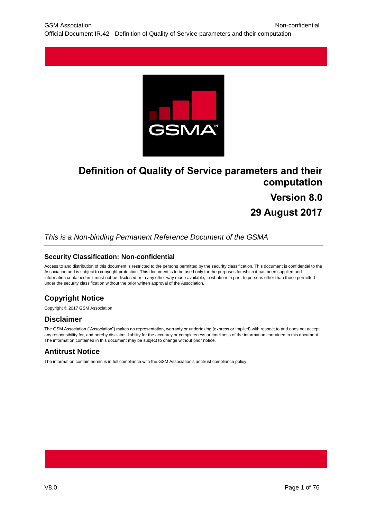

# **Definition of Quality of Service parameters and their computation Version 8.0 29 August 2017**

## *This is a Non-binding Permanent Reference Document of the GSMA*

#### **Security Classification: Non-confidential**

Access to and distribution of this document is restricted to the persons permitted by the security classification. This document is confidential to the Association and is subject to copyright protection. This document is to be used only for the purposes for which it has been supplied and information contained in it must not be disclosed or in any other way made available, in whole or in part, to persons other than those permitted under the security classification without the prior written approval of the Association.

## **Copyright Notice**

Copyright © 2017 GSM Association

#### **Disclaimer**

The GSM Association ("Association") makes no representation, warranty or undertaking (express or implied) with respect to and does not accept any responsibility for, and hereby disclaims liability for the accuracy or completeness or timeliness of the information contained in this document. The information contained in this document may be subject to change without prior notice.

## **Antitrust Notice**

The information contain herein is in full compliance with the GSM Association's antitrust compliance policy.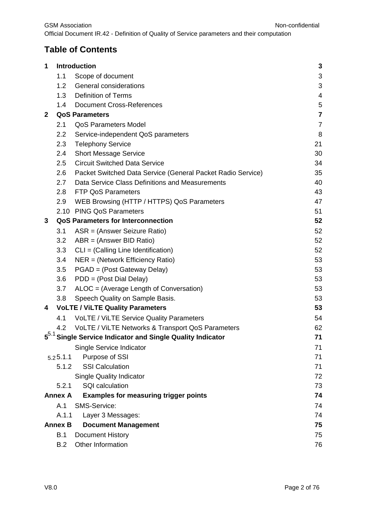# **Table of Contents**

| 1            |                | <b>Introduction</b>                                         | $\mathbf{3}$            |
|--------------|----------------|-------------------------------------------------------------|-------------------------|
|              | 1.1            | Scope of document                                           | $\sqrt{3}$              |
|              | 1.2            | General considerations                                      | 3                       |
|              | 1.3            | <b>Definition of Terms</b>                                  | 4                       |
|              | $1.4^{\circ}$  | <b>Document Cross-References</b>                            | $\mathbf 5$             |
| $\mathbf{2}$ |                | <b>QoS Parameters</b>                                       | $\overline{\mathbf{7}}$ |
|              | 2.1            | <b>QoS Parameters Model</b>                                 | $\overline{7}$          |
|              | 2.2            | Service-independent QoS parameters                          | 8                       |
|              | 2.3            | <b>Telephony Service</b>                                    | 21                      |
|              | 2.4            | <b>Short Message Service</b>                                | 30                      |
|              | 2.5            | <b>Circuit Switched Data Service</b>                        | 34                      |
|              | 2.6            | Packet Switched Data Service (General Packet Radio Service) | 35                      |
|              | 2.7            | Data Service Class Definitions and Measurements             | 40                      |
|              | 2.8            | <b>FTP QoS Parameters</b>                                   | 43                      |
|              | 2.9            | WEB Browsing (HTTP / HTTPS) QoS Parameters                  | 47                      |
|              |                | 2.10 PING QoS Parameters                                    | 51                      |
| 3            |                | <b>QoS Parameters for Interconnection</b>                   | 52                      |
|              | 3.1            | ASR = (Answer Seizure Ratio)                                | 52                      |
|              | 3.2            | ABR = (Answer BID Ratio)                                    | 52                      |
|              | 3.3            | CLI = (Calling Line Identification)                         | 52                      |
|              | 3.4            | $NER = (Network Efficiency Ratio)$                          | 53                      |
|              | 3.5            | PGAD = (Post Gateway Delay)                                 | 53                      |
|              | 3.6            | PDD = (Post Dial Delay)                                     | 53                      |
|              | 3.7            | ALOC = (Average Length of Conversation)                     | 53                      |
|              | 3.8            | Speech Quality on Sample Basis.                             | 53                      |
| 4            |                | <b>VoLTE / ViLTE Quality Parameters</b>                     | 53                      |
|              | 4.1            | VoLTE / ViLTE Service Quality Parameters                    | 54                      |
| 5.1          | 4.2            | VoLTE / ViLTE Networks & Transport QoS Parameters           | 62                      |
|              |                | Single Service Indicator and Single Quality Indicator       | 71                      |
|              |                | Single Service Indicator                                    | 71                      |
|              | 5.25.1.1       | Purpose of SSI                                              | 71                      |
|              | 5.1.2          | <b>SSI Calculation</b>                                      | 71                      |
|              |                | <b>Single Quality Indicator</b>                             | 72                      |
|              | 5.2.1          | <b>SQI</b> calculation                                      | 73                      |
|              | <b>Annex A</b> | <b>Examples for measuring trigger points</b>                | 74                      |
|              | A.1            | SMS-Service:                                                | 74                      |
|              | A.1.1          | Layer 3 Messages:                                           | 74                      |
|              | <b>Annex B</b> | <b>Document Management</b>                                  | 75                      |
|              | B.1            | <b>Document History</b>                                     | 75                      |
|              | B.2            | Other Information                                           | 76                      |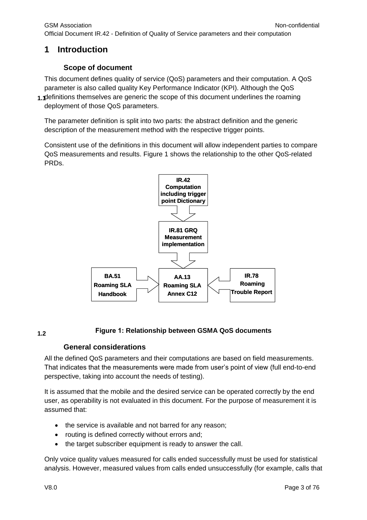# <span id="page-2-1"></span><span id="page-2-0"></span>**1 Introduction**

## **Scope of document**

**1.1** definitions themselves are generic the scope of this document underlines the roaming This document defines quality of service (QoS) parameters and their computation. A QoS parameter is also called quality Key Performance Indicator (KPI). Although the QoS deployment of those QoS parameters.

The parameter definition is split into two parts: the abstract definition and the generic description of the measurement method with the respective trigger points.

Consistent use of the definitions in this document will allow independent parties to compare QoS measurements and results. Figure 1 shows the relationship to the other QoS-related PRDs.



#### **Figure 1: Relationship between GSMA QoS documents 1.2**

## **General considerations**

<span id="page-2-2"></span>All the defined QoS parameters and their computations are based on field measurements. That indicates that the measurements were made from user's point of view (full end-to-end perspective, taking into account the needs of testing).

It is assumed that the mobile and the desired service can be operated correctly by the end user, as operability is not evaluated in this document. For the purpose of measurement it is assumed that:

- the service is available and not barred for any reason;
- routing is defined correctly without errors and;
- the target subscriber equipment is ready to answer the call.

Only voice quality values measured for calls ended successfully must be used for statistical analysis. However, measured values from calls ended unsuccessfully (for example, calls that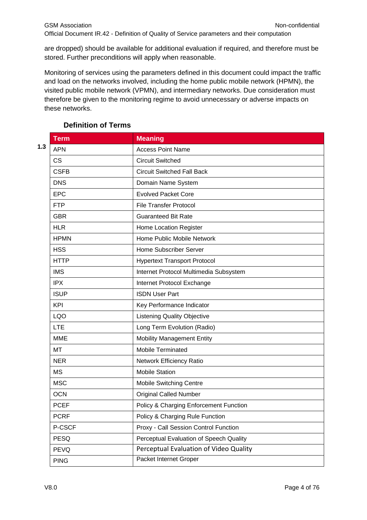are dropped) should be available for additional evaluation if required, and therefore must be stored. Further preconditions will apply when reasonable.

Monitoring of services using the parameters defined in this document could impact the traffic and load on the networks involved, including the home public mobile network (HPMN), the visited public mobile network (VPMN), and intermediary networks. Due consideration must therefore be given to the monitoring regime to avoid unnecessary or adverse impacts on these networks.

<span id="page-3-0"></span>

|     | <b>Term</b> | <b>Meaning</b>                          |
|-----|-------------|-----------------------------------------|
| 1.3 | <b>APN</b>  | <b>Access Point Name</b>                |
|     | <b>CS</b>   | <b>Circuit Switched</b>                 |
|     | <b>CSFB</b> | <b>Circuit Switched Fall Back</b>       |
|     | <b>DNS</b>  | Domain Name System                      |
|     | <b>EPC</b>  | <b>Evolved Packet Core</b>              |
|     | <b>FTP</b>  | <b>File Transfer Protocol</b>           |
|     | <b>GBR</b>  | <b>Guaranteed Bit Rate</b>              |
|     | <b>HLR</b>  | Home Location Register                  |
|     | <b>HPMN</b> | Home Public Mobile Network              |
|     | <b>HSS</b>  | Home Subscriber Server                  |
|     | <b>HTTP</b> | <b>Hypertext Transport Protocol</b>     |
|     | <b>IMS</b>  | Internet Protocol Multimedia Subsystem  |
|     | <b>IPX</b>  | Internet Protocol Exchange              |
|     | <b>ISUP</b> | <b>ISDN User Part</b>                   |
|     | <b>KPI</b>  | Key Performance Indicator               |
|     | <b>LQO</b>  | <b>Listening Quality Objective</b>      |
|     | <b>LTE</b>  | Long Term Evolution (Radio)             |
|     | <b>MME</b>  | <b>Mobility Management Entity</b>       |
|     | MT          | Mobile Terminated                       |
|     | <b>NER</b>  | Network Efficiency Ratio                |
|     | <b>MS</b>   | <b>Mobile Station</b>                   |
|     | <b>MSC</b>  | <b>Mobile Switching Centre</b>          |
|     | <b>OCN</b>  | <b>Original Called Number</b>           |
|     | <b>PCEF</b> | Policy & Charging Enforcement Function  |
|     | <b>PCRF</b> | Policy & Charging Rule Function         |
|     | P-CSCF      | Proxy - Call Session Control Function   |
|     | <b>PESQ</b> | Perceptual Evaluation of Speech Quality |
|     | <b>PEVQ</b> | Perceptual Evaluation of Video Quality  |
|     | <b>PING</b> | Packet Internet Groper                  |

## **Definition of Terms**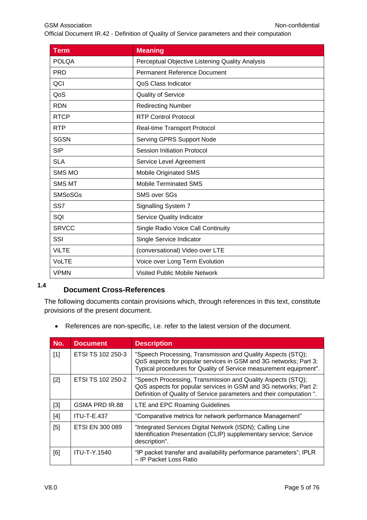| <b>Term</b>    | <b>Meaning</b>                                  |
|----------------|-------------------------------------------------|
| <b>POLQA</b>   | Perceptual Objective Listening Quality Analysis |
| <b>PRD</b>     | <b>Permanent Reference Document</b>             |
| QCI            | QoS Class Indicator                             |
| QoS            | Quality of Service                              |
| <b>RDN</b>     | <b>Redirecting Number</b>                       |
| <b>RTCP</b>    | <b>RTP Control Protocol</b>                     |
| <b>RTP</b>     | Real-time Transport Protocol                    |
| <b>SGSN</b>    | <b>Serving GPRS Support Node</b>                |
| <b>SIP</b>     | <b>Session Initiation Protocol</b>              |
| <b>SLA</b>     | Service Level Agreement                         |
| <b>SMS MO</b>  | <b>Mobile Originated SMS</b>                    |
| <b>SMS MT</b>  | <b>Mobile Terminated SMS</b>                    |
| <b>SMSoSGs</b> | <b>SMS over SGs</b>                             |
| SS7            | Signalling System 7                             |
| SQI            | Service Quality Indicator                       |
| <b>SRVCC</b>   | Single Radio Voice Call Continuity              |
| SSI            | Single Service Indicator                        |
| <b>ViLTE</b>   | (conversational) Video over LTE                 |
| <b>VoLTE</b>   | Voice over Long Term Evolution                  |
| <b>VPMN</b>    | Visited Public Mobile Network                   |

# <span id="page-4-0"></span>**Document Cross-References 1.4**

The following documents contain provisions which, through references in this text, constitute provisions of the present document.

References are non-specific, i.e. refer to the latest version of the document.

| No.   | <b>Document</b>     | <b>Description</b>                                                                                                                                                                                     |
|-------|---------------------|--------------------------------------------------------------------------------------------------------------------------------------------------------------------------------------------------------|
| $[1]$ | ETSI TS 102 250-3   | "Speech Processing, Transmission and Quality Aspects (STQ);<br>QoS aspects for popular services in GSM and 3G networks; Part 3:<br>Typical procedures for Quality of Service measurement equipment".   |
| $[2]$ | ETSI TS 102 250-2   | "Speech Processing, Transmission and Quality Aspects (STQ);<br>QoS aspects for popular services in GSM and 3G networks; Part 2:<br>Definition of Quality of Service parameters and their computation". |
| $[3]$ | GSMA PRD IR.88      | LTE and EPC Roaming Guidelines                                                                                                                                                                         |
| $[4]$ | <b>ITU-T-E.437</b>  | "Comparative metrics for network performance Management"                                                                                                                                               |
| [5]   | ETSI EN 300 089     | "Integrated Services Digital Network (ISDN); Calling Line<br>Identification Presentation (CLIP) supplementary service; Service<br>description".                                                        |
| [6]   | <b>ITU-T-Y.1540</b> | "IP packet transfer and availability performance parameters"; IPLR<br>- IP Packet Loss Ratio                                                                                                           |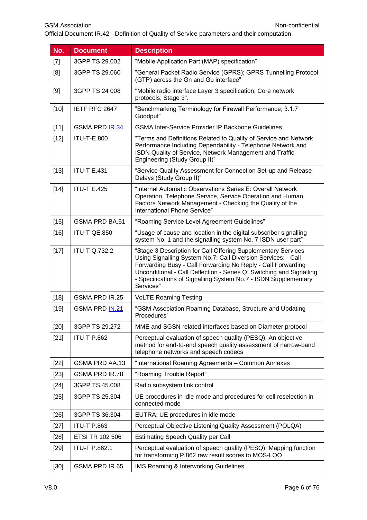Official Document IR.42 - Definition of Quality of Service parameters and their computation

| No.    | <b>Document</b>       | <b>Description</b>                                                                                                                                                                                                                                                                                                                                     |  |
|--------|-----------------------|--------------------------------------------------------------------------------------------------------------------------------------------------------------------------------------------------------------------------------------------------------------------------------------------------------------------------------------------------------|--|
| $[7]$  | 3GPP TS 29.002        | "Mobile Application Part (MAP) specification"                                                                                                                                                                                                                                                                                                          |  |
| [8]    | 3GPP TS 29.060        | "General Packet Radio Service (GPRS); GPRS Tunnelling Protocol<br>(GTP) across the Gn and Gp interface"                                                                                                                                                                                                                                                |  |
| [9]    | 3GPP TS 24 008        | "Mobile radio interface Layer 3 specification; Core network<br>protocols; Stage 3".                                                                                                                                                                                                                                                                    |  |
| $[10]$ | IETF RFC 2647         | "Benchmarking Terminology for Firewall Performance; 3.1.7<br>Goodput"                                                                                                                                                                                                                                                                                  |  |
| $[11]$ | GSMA PRD IR.34        | <b>GSMA Inter-Service Provider IP Backbone Guidelines</b>                                                                                                                                                                                                                                                                                              |  |
| $[12]$ | <b>ITU-T-E.800</b>    | "Terms and Definitions Related to Quality of Service and Network<br>Performance Including Dependability - Telephone Network and<br>ISDN Quality of Service, Network Management and Traffic<br>Engineering (Study Group II)"                                                                                                                            |  |
| $[13]$ | <b>ITU-T E.431</b>    | "Service Quality Assessment for Connection Set-up and Release<br>Delays (Study Group II)"                                                                                                                                                                                                                                                              |  |
| $[14]$ | <b>ITU-T E.425</b>    | "Internal Automatic Observations Series E: Overall Network<br>Operation, Telephone Service, Service Operation and Human<br>Factors Network Management - Checking the Quality of the<br>International Phone Service"                                                                                                                                    |  |
| $[15]$ | GSMA PRD BA.51        | "Roaming Service Level Agreement Guidelines"                                                                                                                                                                                                                                                                                                           |  |
| $[16]$ | ITU-T QE.850          | "Usage of cause and location in the digital subscriber signalling<br>system No. 1 and the signalling system No. 7 ISDN user part"                                                                                                                                                                                                                      |  |
| $[17]$ | <b>ITU-T Q.732.2</b>  | "Stage 3 Description for Call Offering Supplementary Services<br>Using Signalling System No.7: Call Diversion Services: - Call<br>Forwarding Busy - Call Forwarding No Reply - Call Forwarding<br>Unconditional - Call Deflection - Series Q: Switching and Signalling<br>- Specifications of Signalling System No.7 - ISDN Supplementary<br>Services" |  |
| $[18]$ | GSMA PRD IR.25        | <b>VoLTE Roaming Testing</b>                                                                                                                                                                                                                                                                                                                           |  |
| $[19]$ | GSMA PRD <b>IN.21</b> | "GSM Association Roaming Database, Structure and Updating<br>Procedures"                                                                                                                                                                                                                                                                               |  |
| $[20]$ | 3GPP TS 29.272        | MME and SGSN related interfaces based on Diameter protocol                                                                                                                                                                                                                                                                                             |  |
| $[21]$ | <b>ITU-T P.862</b>    | Perceptual evaluation of speech quality (PESQ): An objective<br>method for end-to-end speech quality assessment of narrow-band<br>telephone networks and speech codecs                                                                                                                                                                                 |  |
| $[22]$ | GSMA PRD AA.13        | "International Roaming Agreements - Common Annexes                                                                                                                                                                                                                                                                                                     |  |
| $[23]$ | <b>GSMA PRD IR.78</b> | "Roaming Trouble Report"                                                                                                                                                                                                                                                                                                                               |  |
| $[24]$ | 3GPP TS 45.008        | Radio subsystem link control                                                                                                                                                                                                                                                                                                                           |  |
| $[25]$ | 3GPP TS 25.304        | UE procedures in idle mode and procedures for cell reselection in<br>connected mode                                                                                                                                                                                                                                                                    |  |
| $[26]$ | 3GPP TS 36.304        | EUTRA; UE procedures in idle mode                                                                                                                                                                                                                                                                                                                      |  |
| $[27]$ | <b>ITU-T P.863</b>    | Perceptual Objective Listening Quality Assessment (POLQA)                                                                                                                                                                                                                                                                                              |  |
| $[28]$ | ETSI TR 102 506       | <b>Estimating Speech Quality per Call</b>                                                                                                                                                                                                                                                                                                              |  |
| $[29]$ | <b>ITU-T P.862.1</b>  | Perceptual evaluation of speech quality (PESQ): Mapping function<br>for transforming P.862 raw result scores to MOS-LQO                                                                                                                                                                                                                                |  |
| $[30]$ | GSMA PRD IR.65        | <b>IMS Roaming &amp; Interworking Guidelines</b>                                                                                                                                                                                                                                                                                                       |  |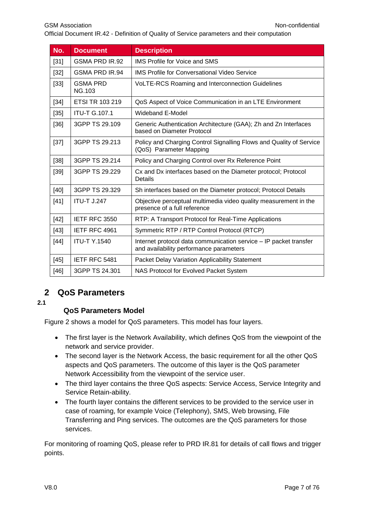| No.    | <b>Document</b>                  | <b>Description</b>                                                                                           |
|--------|----------------------------------|--------------------------------------------------------------------------------------------------------------|
| $[31]$ | <b>GSMA PRD IR.92</b>            | <b>IMS Profile for Voice and SMS</b>                                                                         |
| $[32]$ | <b>GSMA PRD IR.94</b>            | <b>IMS Profile for Conversational Video Service</b>                                                          |
| $[33]$ | <b>GSMA PRD</b><br><b>NG.103</b> | VoLTE-RCS Roaming and Interconnection Guidelines                                                             |
| $[34]$ | <b>ETSI TR 103 219</b>           | QoS Aspect of Voice Communication in an LTE Environment                                                      |
| $[35]$ | <b>ITU-T G.107.1</b>             | <b>Wideband E-Model</b>                                                                                      |
| $[36]$ | 3GPP TS 29.109                   | Generic Authentication Architecture (GAA); Zh and Zn Interfaces<br>based on Diameter Protocol                |
| $[37]$ | 3GPP TS 29.213                   | Policy and Charging Control Signalling Flows and Quality of Service<br>(QoS) Parameter Mapping               |
| $[38]$ | 3GPP TS 29.214                   | Policy and Charging Control over Rx Reference Point                                                          |
| [39]   | 3GPP TS 29.229                   | Cx and Dx interfaces based on the Diameter protocol; Protocol<br>Details                                     |
| [40]   | 3GPP TS 29.329                   | Sh interfaces based on the Diameter protocol; Protocol Details                                               |
| $[41]$ | <b>ITU-T J.247</b>               | Objective perceptual multimedia video quality measurement in the<br>presence of a full reference             |
| $[42]$ | IETF RFC 3550                    | RTP: A Transport Protocol for Real-Time Applications                                                         |
| $[43]$ | IETF RFC 4961                    | Symmetric RTP / RTP Control Protocol (RTCP)                                                                  |
| $[44]$ | <b>ITU-T Y.1540</b>              | Internet protocol data communication service - IP packet transfer<br>and availability performance parameters |
| $[45]$ | IETF RFC 5481                    | <b>Packet Delay Variation Applicability Statement</b>                                                        |
| $[46]$ | 3GPP TS 24.301                   | NAS Protocol for Evolved Packet System                                                                       |

# <span id="page-6-0"></span>**2 QoS Parameters**

#### <span id="page-6-1"></span>**2.1**

## **QoS Parameters Model**

Figure 2 shows a model for QoS parameters. This model has four layers.

- The first layer is the Network Availability, which defines QoS from the viewpoint of the network and service provider.
- The second layer is the Network Access, the basic requirement for all the other QoS aspects and QoS parameters. The outcome of this layer is the QoS parameter Network Accessibility from the viewpoint of the service user.
- The third layer contains the three QoS aspects: Service Access, Service Integrity and Service Retain-ability.
- The fourth layer contains the different services to be provided to the service user in case of roaming, for example Voice (Telephony), SMS, Web browsing, File Transferring and Ping services. The outcomes are the QoS parameters for those services.

For monitoring of roaming QoS, please refer to PRD IR.81 for details of call flows and trigger points.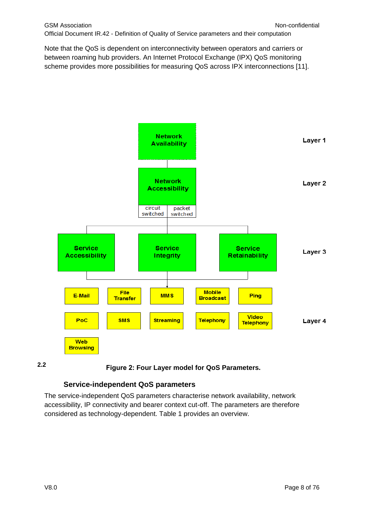Note that the QoS is dependent on interconnectivity between operators and carriers or between roaming hub providers. An Internet Protocol Exchange (IPX) QoS monitoring scheme provides more possibilities for measuring QoS across IPX interconnections [11].



**2.2**

**Figure 2: Four Layer model for QoS Parameters.**

## **Service-independent QoS parameters**

<span id="page-7-0"></span>The service-independent QoS parameters characterise network availability, network accessibility, IP connectivity and bearer context cut-off. The parameters are therefore considered as technology-dependent. Table 1 provides an overview.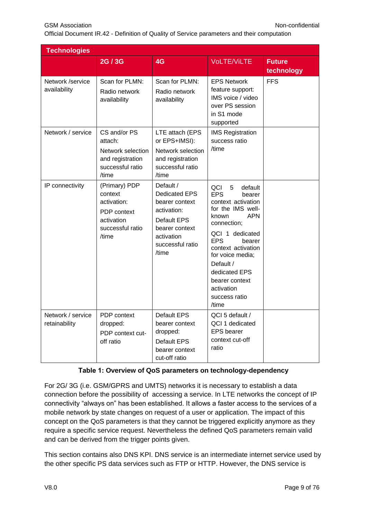| <b>Technologies</b>                |                                                                                                   |                                                                                                                                         |                                                                                                                                                                                                                                                                                                           |                             |
|------------------------------------|---------------------------------------------------------------------------------------------------|-----------------------------------------------------------------------------------------------------------------------------------------|-----------------------------------------------------------------------------------------------------------------------------------------------------------------------------------------------------------------------------------------------------------------------------------------------------------|-----------------------------|
|                                    | 2G/3G                                                                                             | 4G                                                                                                                                      | <b>VoLTE/ViLTE</b>                                                                                                                                                                                                                                                                                        | <b>Future</b><br>technology |
| Network /service<br>availability   | Scan for PLMN:<br>Radio network<br>availability                                                   | Scan for PLMN:<br>Radio network<br>availability                                                                                         | <b>EPS Network</b><br>feature support:<br>IMS voice / video<br>over PS session<br>in S1 mode<br>supported                                                                                                                                                                                                 | <b>FFS</b>                  |
| Network / service                  | CS and/or PS<br>attach:<br>Network selection<br>and registration<br>successful ratio<br>/time     | LTE attach (EPS<br>or EPS+IMSI):<br>Network selection<br>and registration<br>successful ratio<br>/time                                  | <b>IMS Registration</b><br>success ratio<br>/time                                                                                                                                                                                                                                                         |                             |
| IP connectivity                    | (Primary) PDP<br>context<br>activation:<br>PDP context<br>activation<br>successful ratio<br>/time | Default /<br>Dedicated EPS<br>bearer context<br>activation:<br>Default EPS<br>bearer context<br>activation<br>successful ratio<br>/time | QCI<br>5<br>default<br><b>EPS</b><br>bearer<br>context activation<br>for the IMS well-<br><b>APN</b><br>known<br>connection;<br>QCI 1 dedicated<br><b>EPS</b><br>bearer<br>context activation<br>for voice media;<br>Default /<br>dedicated EPS<br>bearer context<br>activation<br>success ratio<br>/time |                             |
| Network / service<br>retainability | PDP context<br>dropped:<br>PDP context cut-<br>off ratio                                          | Default EPS<br>bearer context<br>dropped:<br>Default EPS<br>bearer context<br>cut-off ratio                                             | QCI 5 default /<br>QCI 1 dedicated<br><b>EPS</b> bearer<br>context cut-off<br>ratio                                                                                                                                                                                                                       |                             |

## **Table 1: Overview of QoS parameters on technology-dependency**

For 2G/ 3G (i.e. GSM/GPRS and UMTS) networks it is necessary to establish a data connection before the possibility of accessing a service. In LTE networks the concept of IP connectivity "always on" has been established. It allows a faster access to the services of a mobile network by state changes on request of a user or application. The impact of this concept on the QoS parameters is that they cannot be triggered explicitly anymore as they require a specific service request. Nevertheless the defined QoS parameters remain valid and can be derived from the trigger points given.

This section contains also DNS KPI. DNS service is an intermediate internet service used by the other specific PS data services such as FTP or HTTP. However, the DNS service is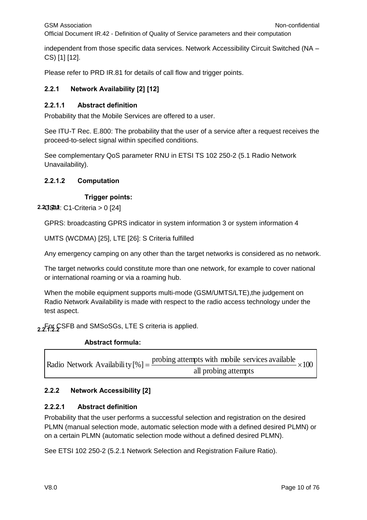independent from those specific data services. Network Accessibility Circuit Switched (NA – CS) [1] [12].

Please refer to PRD IR.81 for details of call flow and trigger points.

## **2.2.1 Network Availability [2] [12]**

#### **2.2.1.1 Abstract definition**

Probability that the Mobile Services are offered to a user.

See ITU-T Rec. E.800: The probability that the user of a service after a request receives the proceed-to-select signal within specified conditions.

See complementary QoS parameter RNU in ETSI TS 102 250-2 (5.1 Radio Network Unavailability).

#### **2.2.1.2 Computation**

#### **Trigger points:**

**2.23.3M: C1-Criteria > 0 [24]** 

GPRS: broadcasting GPRS indicator in system information 3 or system information 4

UMTS (WCDMA) [25], LTE [26]: S Criteria fulfilled

Any emergency camping on any other than the target networks is considered as no network.

The target networks could constitute more than one network, for example to cover national or international roaming or via a roaming hub.

When the mobile equipment supports multi-mode (GSM/UMTS/LTE),the judgement on Radio Network Availability is made with respect to the radio access technology under the test aspect.

2.2. *P.* CSFB and SMSoSGs, LTE S criteria is applied.

#### **Abstract formula:**

Radio Network Availability  $[\%] = \frac{\text{probing attempts with mobile services available}}{\text{m} \cdot \text{m} \cdot \text{m} \cdot \text{m}} \times 100$ all probing attempts

#### **2.2.2 Network Accessibility [2]**

#### **2.2.2.1 Abstract definition**

Probability that the user performs a successful selection and registration on the desired PLMN (manual selection mode, automatic selection mode with a defined desired PLMN) or on a certain PLMN (automatic selection mode without a defined desired PLMN).

See ETSI 102 250-2 (5.2.1 Network Selection and Registration Failure Ratio).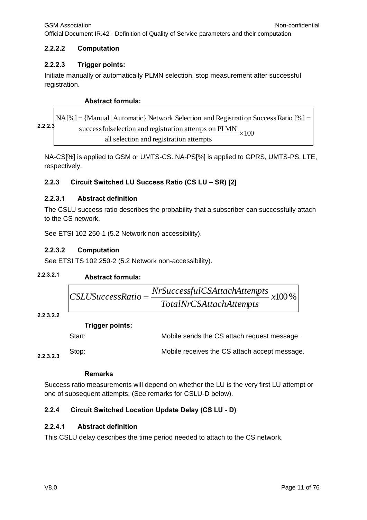$\Gamma$ 

Official Document IR.42 - Definition of Quality of Service parameters and their computation

#### **2.2.2.2 Computation**

#### **2.2.2.3 Trigger points:**

Initiate manually or automatically PLMN selection, stop measurement after successful registration.

#### **Abstract formula:**

RA[%] = {Manual | Automatic} Network Selection and Registeration Success Ratio [%] = 
$$
\frac{\text{successfulselection and registration attempts on PLMN}}{\text{all selection and registration attempts}} \times 100
$$

NA-CS[%] is applied to GSM or UMTS-CS. NA-PS[%] is applied to GPRS, UMTS-PS, LTE, respectively.

#### **2.2.3 Circuit Switched LU Success Ratio (CS LU – SR) [2]**

#### **2.2.3.1 Abstract definition**

The CSLU success ratio describes the probability that a subscriber can successfully attach to the CS network.

See ETSI 102 250-1 (5.2 Network non-accessibility).

#### **2.2.3.2 Computation**

See ETSI TS 102 250-2 (5.2 Network non-accessibility).

#### **Abstract formula: 2.2.3.2.1**

$$
CSLUS accessRatio = \frac{NrSuccessfulCSAttachAttemps}{TotalNrCSAttachAttemps} \times 100\%
$$

#### **2.2.3.2.2**

#### **Trigger points:**

|           | Start: | Mobile sends the CS attach request message.   |
|-----------|--------|-----------------------------------------------|
| 2.2.3.2.3 | Stop:  | Mobile receives the CS attach accept message. |

#### **Remarks**

Success ratio measurements will depend on whether the LU is the very first LU attempt or one of subsequent attempts. (See remarks for CSLU-D below).

#### **2.2.4 Circuit Switched Location Update Delay (CS LU - D)**

#### **2.2.4.1 Abstract definition**

This CSLU delay describes the time period needed to attach to the CS network.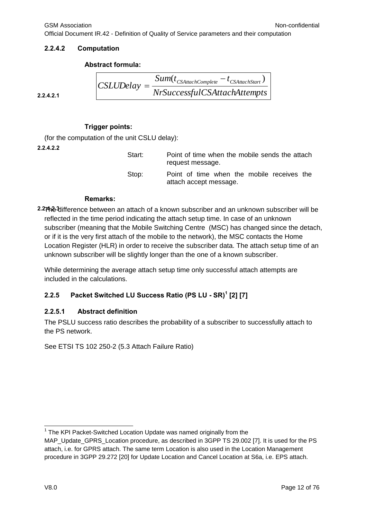Official Document IR.42 - Definition of Quality of Service parameters and their computation

 $CSLUDelay = \frac{Sum(t_{CSAttachComplete} - t_{CSAttachStart})}{max(1,0.01,0.01,0.01)}$ 

#### **2.2.4.2 Computation**

#### **Abstract formula:**

 $CSLUDelav =$ 

**2.2.4.2.1**

#### **Trigger points:**

(for the computation of the unit CSLU delay):

**2.2.4.2.2**

Start: Point of time when the mobile sends the attach request message. Stop: Point of time when the mobile receives the attach accept message.

*NrSuccessfulCSAttachAttempts*

#### **Remarks:**

**2.2.4.2.3** The difference between an attach of a known subscriber and an unknown subscriber will be reflected in the time period indicating the attach setup time. In case of an unknown subscriber (meaning that the Mobile Switching Centre (MSC) has changed since the detach, or if it is the very first attach of the mobile to the network), the MSC contacts the Home Location Register (HLR) in order to receive the subscriber data. The attach setup time of an unknown subscriber will be slightly longer than the one of a known subscriber.

While determining the average attach setup time only successful attach attempts are included in the calculations.

#### **2.2.5 Packet Switched LU Success Ratio (PS LU - SR)<sup>1</sup> [2] [7]**

#### **2.2.5.1 Abstract definition**

The PSLU success ratio describes the probability of a subscriber to successfully attach to the PS network.

See ETSI TS 102 250-2 (5.3 Attach Failure Ratio)

<sup>-</sup><sup>1</sup> The KPI Packet-Switched Location Update was named originally from the

MAP Update GPRS Location procedure, as described in 3GPP TS 29.002 [7]. It is used for the PS attach, i.e. for GPRS attach. The same term Location is also used in the Location Management procedure in 3GPP 29.272 [20] for Update Location and Cancel Location at S6a, i.e. EPS attach.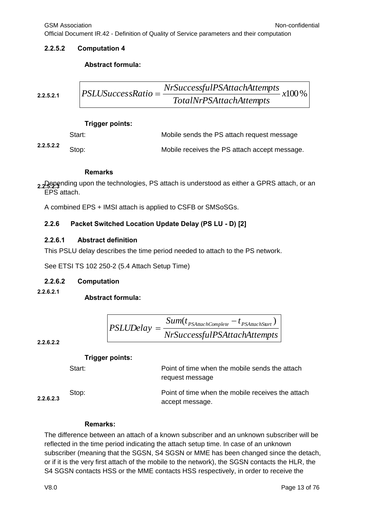GSM Association **Non-confidential** 

Official Document IR.42 - Definition of Quality of Service parameters and their computation

#### **2.2.5.2 Computation 4**

#### **Abstract formula:**

2.2.5.2.1 
$$
PSLUSuccessRatio = \frac{NrSuccessfulPSAttackAttemps}{TotalNrPSAttackAttemps}
$$
 x100 %

#### **Trigger points:**

|           | Start: | Mobile sends the PS attach request message    |
|-----------|--------|-----------------------------------------------|
| 2.2.5.2.2 | Stop:  | Mobile receives the PS attach accept message. |

#### **Remarks**

**2.2.5.2.3** Depending upon the technologies, PS attach is understood as either a GPRS attach, or an EPS attach.

A combined EPS + IMSI attach is applied to CSFB or SMSoSGs.

#### **2.2.6 Packet Switched Location Update Delay (PS LU - D) [2]**

#### **2.2.6.1 Abstract definition**

This PSLU delay describes the time period needed to attach to the PS network.

See ETSI TS 102 250-2 (5.4 Attach Setup Time)

#### **2.2.6.2 Computation**

**2.2.6.2.1**

#### **Abstract formula:**

$$
PSLUDelay = \frac{Sum(t_{PSAttachComplete} - t_{PSAttachStart})}{NrSuccessfulPSAttachAttemps}
$$

**2.2.6.2.2**

#### **Trigger points:**

Start: **Point of time when the mobile sends the attach** request message

**2.2.6.2.3**

Stop: Point of time when the mobile receives the attach accept message.

#### **Remarks:**

The difference between an attach of a known subscriber and an unknown subscriber will be reflected in the time period indicating the attach setup time. In case of an unknown subscriber (meaning that the SGSN, S4 SGSN or MME has been changed since the detach, or if it is the very first attach of the mobile to the network), the SGSN contacts the HLR, the S4 SGSN contacts HSS or the MME contacts HSS respectively, in order to receive the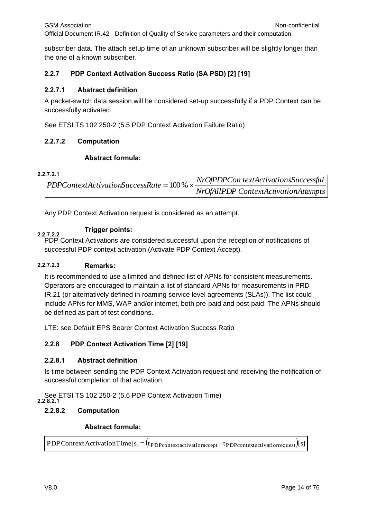subscriber data. The attach setup time of an unknown subscriber will be slightly longer than the one of a known subscriber.

#### **2.2.7 PDP Context Activation Success Ratio (SA PSD) [2] [19]**

#### **2.2.7.1 Abstract definition**

A packet-switch data session will be considered set-up successfully if a PDP Context can be successfully activated.

See ETSI TS 102 250-2 (5.5 PDP Context Activation Failure Ratio)

#### **2.2.7.2 Computation**

#### **Abstract formula:**

#### **2.2.7.2.1**

*NrOfPDPCon textActivationsSuccessful PDPContextActivationSuccessRate* 100%

Any PDP Context Activation request is considered as an attempt.

#### **Trigger points:**

**2.2.7.2.2** PDP Context Activations are considered successful upon the reception of notifications of successful PDP context activation (Activate PDP Context Accept).

#### **2.2.7.2.3 Remarks:**

It is recommended to use a limited and defined list of APNs for consistent measurements. Operators are encouraged to maintain a list of standard APNs for measurements in PRD IR.21 (or alternatively defined in roaming service level agreements (SLAs)). The list could include APNs for MMS, WAP and/or internet, both pre-paid and post-paid. The APNs should be defined as part of test conditions. PDP Context Activation request is considered as an attempt.<br>
Transper points:<br>
Transper points:<br>
Transper points:<br>
PDP Context Activations are considered successful upon the reception of notifications of<br>
1.2.3 Remarks:<br>
I

LTE: see Default EPS Bearer Context Activation Success Ratio

#### **2.2.8 PDP Context Activation Time [2] [19]**

#### **2.2.8.1 Abstract definition**

Is time between sending the PDP Context Activation request and receiving the notification of successful completion of that activation.

See ETSI TS 102 250-2 (5.6 PDP Context Activation Time) **2.2.8.2.1**

#### **2.2.8.2 Computation**

#### **Abstract formula:**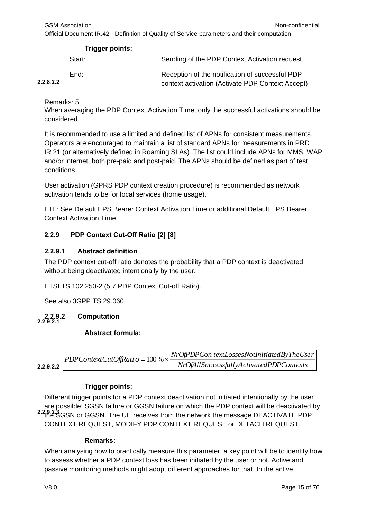| Trigger points: |                                                                                                     |
|-----------------|-----------------------------------------------------------------------------------------------------|
| Start:          | Sending of the PDP Context Activation request                                                       |
| End:            | Reception of the notification of successful PDP<br>context activation (Activate PDP Context Accept) |
|                 |                                                                                                     |

Remarks: 5

**2.2.8.2.2**

When averaging the PDP Context Activation Time, only the successful activations should be considered.

It is recommended to use a limited and defined list of APNs for consistent measurements. Operators are encouraged to maintain a list of standard APNs for measurements in PRD IR.21 (or alternatively defined in Roaming SLAs). The list could include APNs for MMS, WAP and/or internet, both pre-paid and post-paid. The APNs should be defined as part of test conditions.

User activation (GPRS PDP context creation procedure) is recommended as network activation tends to be for local services (home usage).

LTE: See Default EPS Bearer Context Activation Time or additional Default EPS Bearer Context Activation Time

## **2.2.9 PDP Context Cut-Off Ratio [2] [8]**

#### **2.2.9.1 Abstract definition**

The PDP context cut-off ratio denotes the probability that a PDP context is deactivated without being deactivated intentionally by the user.

ETSI TS 102 250-2 (5.7 PDP Context Cut-off Ratio).

See also 3GPP TS 29.060.

#### **2.2.9.2 Computation 2.2.9.2.1**

#### **Abstract formula:**

|           | PDPContextCutOffRati $o = 100\% \times \frac{1100 \times 100}{1000}$ | NrOfPDPCon textLossesNotInitiatedByTheUser |
|-----------|----------------------------------------------------------------------|--------------------------------------------|
| 2.9.2.2 l |                                                                      | NrOfAllSuc cessfullyActivatedPDPContexts   |

**2.2.9.2.2**

## **Trigger points:**

Different trigger points for a PDP context deactivation not initiated intentionally by the user are possible: SGSN failure or GGSN failure on which the PDP context will be deactivated by 2.282.3 GSN or GGSN. The UE receives from the network the message DEACTIVATE PDP CONTEXT REQUEST, MODIFY PDP CONTEXT REQUEST or DETACH REQUEST.

#### **Remarks:**

When analysing how to practically measure this parameter, a key point will be to identify how to assess whether a PDP context loss has been initiated by the user or not. Active and passive monitoring methods might adopt different approaches for that. In the active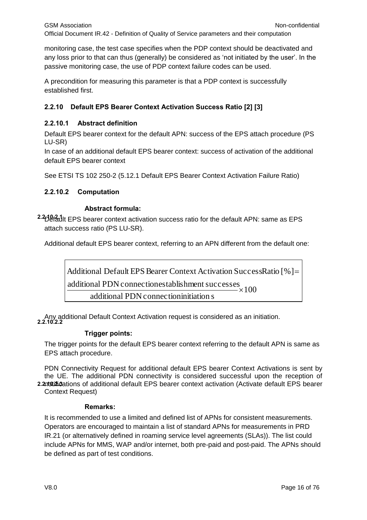monitoring case, the test case specifies when the PDP context should be deactivated and any loss prior to that can thus (generally) be considered as 'not initiated by the user'. In the passive monitoring case, the use of PDP context failure codes can be used.

A precondition for measuring this parameter is that a PDP context is successfully established first.

#### **2.2.10 Default EPS Bearer Context Activation Success Ratio [2] [3]**

#### **2.2.10.1 Abstract definition**

Default EPS bearer context for the default APN: success of the EPS attach procedure (PS LU-SR)

In case of an additional default EPS bearer context: success of activation of the additional default EPS bearer context

See ETSI TS 102 250-2 (5.12.1 Default EPS Bearer Context Activation Failure Ratio)

#### **2.2.10.2 Computation**

#### **Abstract formula:**

<sup>2.2</sup>Default EPS bearer context activation success ratio for the default APN: same as EPS attach success ratio (PS LU-SR).

Additional default EPS bearer context, referring to an APN different from the default one:

100 additional PDN connectioninitiation s additional PDN connectionestablishment successes Additional Default EPS Bearer Context Activation SuccessRatio [%]= '×

Any additional Default Context Activation request is considered as an initiation. **2.2.10.2.2**

#### **Trigger points:**

The trigger points for the default EPS bearer context referring to the default APN is same as EPS attach procedure.

PDN Connectivity Request for additional default EPS bearer Context Activations is sent by the UE. The additional PDN connectivity is considered successful upon the reception of 2.2.10.12.3.3 attions of additional default EPS bearer context activation (Activate default EPS bearer Context Request)

#### **Remarks:**

It is recommended to use a limited and defined list of APNs for consistent measurements. Operators are encouraged to maintain a list of standard APNs for measurements in PRD IR.21 (or alternatively defined in roaming service level agreements (SLAs)). The list could include APNs for MMS, WAP and/or internet, both pre-paid and post-paid. The APNs should be defined as part of test conditions.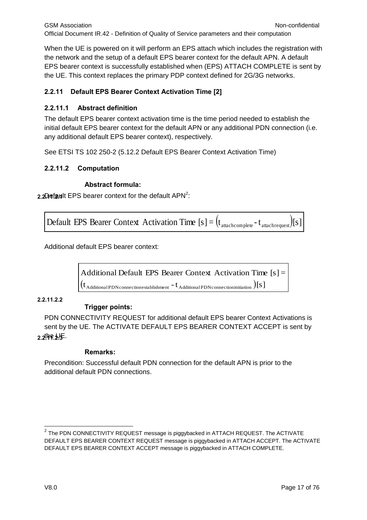When the UE is powered on it will perform an EPS attach which includes the registration with the network and the setup of a default EPS bearer context for the default APN. A default EPS bearer context is successfully established when (EPS) ATTACH COMPLETE is sent by the UE. This context replaces the primary PDP context defined for 2G/3G networks.

## **2.2.11 Default EPS Bearer Context Activation Time [2]**

#### **2.2.11.1 Abstract definition**

The default EPS bearer context activation time is the time period needed to establish the initial default EPS bearer context for the default APN or any additional PDN connection (i.e. any additional default EPS bearer context), respectively.

See ETSI TS 102 250-2 (5.12.2 Default EPS Bearer Context Activation Time)

#### **2.2.11.2 Computation**

#### **Abstract formula:**

2.2 **Asfault EPS** bearer context for the default APN<sup>2</sup>:

Default EPS Bearer Context Activation Time  $[s] = (t_{\text{attachcomplex}} - t_{\text{attachrequest}})[s]$ 

Additional default EPS bearer context:

 $(\mathrm{t}_{\scriptsize\begin{smallmatrix}\mathrm{AdditionalPDN} \mathrm{connection} \end{smallmatrix}})$  [S ] Additional Default EPS Bearer Context Activation Time  $[s] =$ 

#### **2.2.11.2.2**

## **Trigger points:**

PDN CONNECTIVITY REQUEST for additional default EPS bearer Context Activations is sent by the UE. The ACTIVATE DEFAULT EPS BEARER CONTEXT ACCEPT is sent by 2.2<sup>!|</sup>በዋይ!

#### **Remarks:**

Precondition: Successful default PDN connection for the default APN is prior to the additional default PDN connections.

 2 The PDN CONNECTIVITY REQUEST message is piggybacked in ATTACH REQUEST. The ACTIVATE DEFAULT EPS BEARER CONTEXT REQUEST message is piggybacked in ATTACH ACCEPT. The ACTIVATE DEFAULT EPS BEARER CONTEXT ACCEPT message is piggybacked in ATTACH COMPLETE.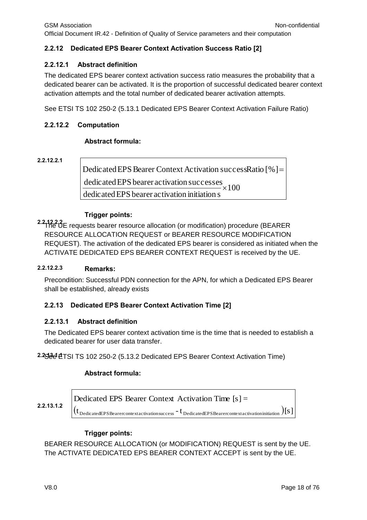#### **2.2.12 Dedicated EPS Bearer Context Activation Success Ratio [2]**

#### **2.2.12.1 Abstract definition**

The dedicated EPS bearer context activation success ratio measures the probability that a dedicated bearer can be activated. It is the proportion of successful dedicated bearer context activation attempts and the total number of dedicated bearer activation attempts.

See ETSI TS 102 250-2 (5.13.1 Dedicated EPS Bearer Context Activation Failure Ratio)

#### **2.2.12.2 Computation**

#### **Abstract formula:**

**2.2.12.2.1**

100 dedicatedEPS bearer activation initiation s dedicated EPS bearer activation successes Dedicated EPS Bearer Context Activation successRatio [%]=  $\mathsf{x}$ 

#### **Trigger points:**

**2.2.12.2.2** The UE requests bearer resource allocation (or modification) procedure (BEARER RESOURCE ALLOCATION REQUEST or BEARER RESOURCE MODIFICATION REQUEST). The activation of the dedicated EPS bearer is considered as initiated when the ACTIVATE DEDICATED EPS BEARER CONTEXT REQUEST is received by the UE.

#### **Remarks: 2.2.12.2.3**

Precondition: Successful PDN connection for the APN, for which a Dedicated EPS Bearer shall be established, already exists

#### **2.2.13 Dedicated EPS Bearer Context Activation Time [2]**

#### **2.2.13.1 Abstract definition**

The Dedicated EPS bearer context activation time is the time that is needed to establish a dedicated bearer for user data transfer.

2.25<sup>3</sup> ETSI TS 102 250-2 (5.13.2 Dedicated EPS Bearer Context Activation Time)

#### **Abstract formula:**

**2.2.13.1.2**

 $({\rm t}_{\rm Dedicated EPSBe are recontext activations success}$  -  ${\rm t}_{\rm Dedicated EPSBe are reconstruction intiation)}$   ${\rm [s]}$ Dedicated EPS Bearer Context Activation Time [s] <sup>=</sup>

#### **Trigger points:**

BEARER RESOURCE ALLOCATION (or MODIFICATION) REQUEST is sent by the UE. The ACTIVATE DEDICATED EPS BEARER CONTEXT ACCEPT is sent by the UE.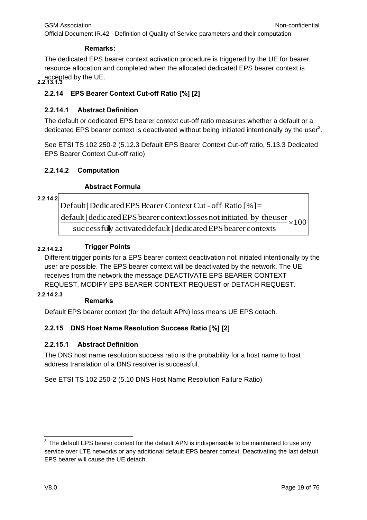#### **Remarks:**

**2.2.13.1.3** accepted by the UE. The dedicated EPS bearer context activation procedure is triggered by the UE for bearer resource allocation and completed when the allocated dedicated EPS bearer context is

## **2.2.14 EPS Bearer Context Cut-off Ratio [%] [2]**

#### **2.2.14.1 Abstract Definition**

The default or dedicated EPS bearer context cut-off ratio measures whether a default or a dedicated EPS bearer context is deactivated without being initiated intentionally by the user<sup>3</sup>.

See ETSI TS 102 250-2 (5.12.3 Default EPS Bearer Context Cut-off ratio, 5.13.3 Dedicated EPS Bearer Context Cut-off ratio)

#### **2.2.14.2 Computation**

#### **Abstract Formula**

#### **2.2.14.2.1**

default | dedicated EPS bearer context losses not initiated by the user  $\times 100$ successfully activated default | dedicated EPS bearer contexts Default | Dedicated EPS Bearer Context Cut - off Ratio  $[%] =$ 

#### **2.2.14.2.2 Trigger Points**

Different trigger points for a EPS bearer context deactivation not initiated intentionally by the user are possible. The EPS bearer context will be deactivated by the network. The UE receives from the network the message DEACTIVATE EPS BEARER CONTEXT REQUEST, MODIFY EPS BEARER CONTEXT REQUEST or DETACH REQUEST.

#### **2.2.14.2.3**

#### **Remarks**

Default EPS bearer context (for the default APN) loss means UE EPS detach.

#### **2.2.15 DNS Host Name Resolution Success Ratio [%] [2]**

#### **2.2.15.1 Abstract Definition**

The DNS host name resolution success ratio is the probability for a host name to host address translation of a DNS resolver is successful.

See ETSI TS 102 250-2 (5.10 DNS Host Name Resolution Failure Ratio)

<sup>-</sup> $3$  The default EPS bearer context for the default APN is indispensable to be maintained to use any service over LTE networks or any additional default EPS bearer context. Deactivating the last default EPS bearer will cause the UE detach.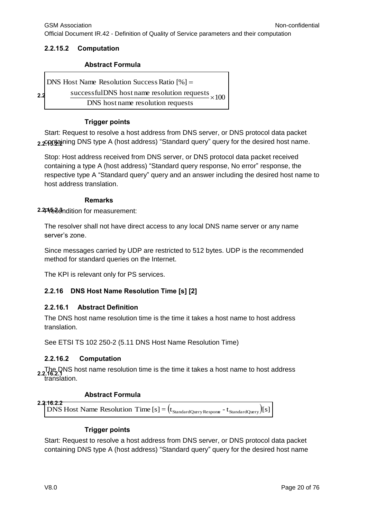#### **2.2.15.2 Computation**

#### **Abstract Formula**

|     | <b>DNS</b> Host Name Resolution Success Ratio $[\%] =$   |
|-----|----------------------------------------------------------|
| 2.2 | successfulDNS host name resolution requests $\times 100$ |
|     | DNS host name resolution requests                        |

#### **Trigger points**

2.2<del>00</del>9.22 ining DNS type A (host address) "Standard query" query for the desired host name. Start: Request to resolve a host address from DNS server, or DNS protocol data packet

Stop: Host address received from DNS server, or DNS protocol data packet received containing a type A (host address) "Standard query response, No error" response, the respective type A "Standard query" query and an answer including the desired host name to host address translation.

#### **Remarks**

2.2<sup>p</sup><sup>6</sup>.3<sup>o</sup>ndition for measurement:

The resolver shall not have direct access to any local DNS name server or any name server's zone.

Since messages carried by UDP are restricted to 512 bytes. UDP is the recommended method for standard queries on the Internet.

The KPI is relevant only for PS services.

## **2.2.16 DNS Host Name Resolution Time [s] [2]**

#### **2.2.16.1 Abstract Definition**

The DNS host name resolution time is the time it takes a host name to host address translation.

See ETSI TS 102 250-2 (5.11 DNS Host Name Resolution Time)

#### **2.2.16.2 Computation**

The DNS host name resolution time is the time it takes a host name to host address<br>2.2.16.2.1 translation.

## **Abstract Formula**

**DNS** Host Name Resolution Time  $[s] = (t_{\text{StandardQuery Response}} - t_{\text{StandardQuery}})[s]$ **2.2.16.2.2**

#### **Trigger points**

Start: Request to resolve a host address from DNS server, or DNS protocol data packet containing DNS type A (host address) "Standard query" query for the desired host name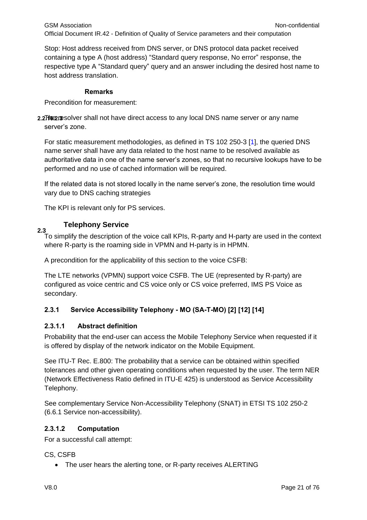Stop: Host address received from DNS server, or DNS protocol data packet received containing a type A (host address) "Standard query response, No error" response, the respective type A "Standard query" query and an answer including the desired host name to host address translation.

#### **Remarks**

Precondition for measurement:

2.2<sup>The p</sup>solver shall not have direct access to any local DNS name server or any name server's zone.

For static measurement methodologies, as defined in TS 102 250-3 [1], the queried DNS name server shall have any data related to the host name to be resolved available as authoritative data in one of the name server's zones, so that no recursive lookups have to be performed and no use of cached information will be required.

If the related data is not stored locally in the name server's zone, the resolution time would vary due to DNS caching strategies

The KPI is relevant only for PS services.

#### **Telephony Service**

<span id="page-20-0"></span>**2.3** To simplify the description of the voice call KPIs, R-party and H-party are used in the context where R-party is the roaming side in VPMN and H-party is in HPMN.

A precondition for the applicability of this section to the voice CSFB:

The LTE networks (VPMN) support voice CSFB. The UE (represented by R-party) are configured as voice centric and CS voice only or CS voice preferred, IMS PS Voice as secondary.

#### **2.3.1 Service Accessibility Telephony - MO (SA-T-MO) [2] [12] [14]**

#### **2.3.1.1 Abstract definition**

Probability that the end-user can access the Mobile Telephony Service when requested if it is offered by display of the network indicator on the Mobile Equipment.

See ITU-T Rec. E.800: The probability that a service can be obtained within specified tolerances and other given operating conditions when requested by the user. The term NER (Network Effectiveness Ratio defined in ITU-E 425) is understood as Service Accessibility Telephony.

See complementary Service Non-Accessibility Telephony (SNAT) in ETSI TS 102 250-2 (6.6.1 Service non-accessibility).

#### **2.3.1.2 Computation**

For a successful call attempt:

CS, CSFB

• The user hears the alerting tone, or R-party receives ALERTING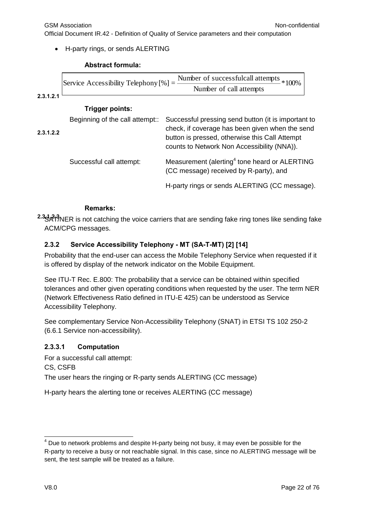GSM Association **Non-confidential** Official Document IR.42 - Definition of Quality of Service parameters and their computation

H-party rings, or sends ALERTING

#### **Abstract formula:**

**2.3.1.2.1 Trigger points: 2.3.1.2.2** Beginning of the call attempt:: Successful pressing send button (it is important to check, if coverage has been given when the send button is pressed, otherwise this Call Attempt counts to Network Non Accessibility (NNA)). Successful call attempt: Measurement (alerting<sup>4</sup> tone heard or ALERTING (CC message) received by R-party), and \*100% Number of call attempts Number of successfulcall attempts Service Accessibility Telephony [%] <sup>=</sup>

H-party rings or sends ALERTING (CC message).

#### **Remarks:**

2.35 ATINER is not catching the voice carriers that are sending fake ring tones like sending fake ACM/CPG messages.

#### **2.3.2 Service Accessibility Telephony - MT (SA-T-MT) [2] [14]**

Probability that the end-user can access the Mobile Telephony Service when requested if it is offered by display of the network indicator on the Mobile Equipment.

See ITU-T Rec. E.800: The probability that a service can be obtained within specified tolerances and other given operating conditions when requested by the user. The term NER (Network Effectiveness Ratio defined in ITU-E 425) can be understood as Service Accessibility Telephony.

See complementary Service Non-Accessibility Telephony (SNAT) in ETSI TS 102 250-2 (6.6.1 Service non-accessibility).

#### **2.3.3.1 Computation**

For a successful call attempt: CS, CSFB The user hears the ringing or R-party sends ALERTING (CC message)

H-party hears the alerting tone or receives ALERTING (CC message)

-

 $4$  Due to network problems and despite H-party being not busy, it may even be possible for the R-party to receive a busy or not reachable signal. In this case, since no ALERTING message will be sent, the test sample will be treated as a failure.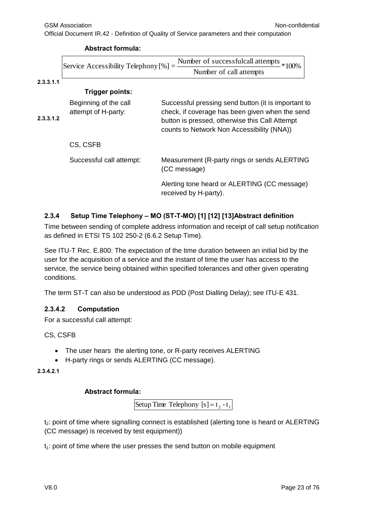**Abstract formula:**

|           | Number of successfulcall attempts $*100\%$<br>Service Accessibility Telephony $[\%] = -$<br>Number of call attempts |                                                                                                                                                                                                        |
|-----------|---------------------------------------------------------------------------------------------------------------------|--------------------------------------------------------------------------------------------------------------------------------------------------------------------------------------------------------|
|           |                                                                                                                     |                                                                                                                                                                                                        |
| 2.3.3.1.1 |                                                                                                                     |                                                                                                                                                                                                        |
|           | Trigger points:                                                                                                     |                                                                                                                                                                                                        |
| 2.3.3.1.2 | Beginning of the call<br>attempt of H-party:                                                                        | Successful pressing send button (it is important to<br>check, if coverage has been given when the send<br>button is pressed, otherwise this Call Attempt<br>counts to Network Non Accessibility (NNA)) |
|           | CS, CSFB                                                                                                            |                                                                                                                                                                                                        |
|           | Successful call attempt:                                                                                            | Measurement (R-party rings or sends ALERTING<br>(CC message)                                                                                                                                           |
|           |                                                                                                                     | Alerting tone heard or ALERTING (CC message)<br>received by H-party).                                                                                                                                  |

#### **2.3.4 Setup Time Telephony – MO (ST-T-MO) [1] [12] [13]Abstract definition**

Time between sending of complete address information and receipt of call setup notification as defined in ETSI TS 102 250-2 (6.6.2 Setup Time).

See ITU-T Rec. E.800: The expectation of the time duration between an initial bid by the user for the acquisition of a service and the instant of time the user has access to the service, the service being obtained within specified tolerances and other given operating conditions.

The term ST-T can also be understood as PDD (Post Dialling Delay); see ITU-E 431.

#### **2.3.4.2 Computation**

For a successful call attempt:

CS, CSFB

- The user hears the alerting tone, or R-party receives ALERTING
- H-party rings or sends ALERTING (CC message).

**2.3.4.2.1**

#### **Abstract formula:**

Setup Time Telephony  $[s] = t_2 - t_1$ 

t<sub>2</sub>: point of time where signalling connect is established (alerting tone is heard or ALERTING (CC message) is received by test equipment))

 $t_1$ : point of time where the user presses the send button on mobile equipment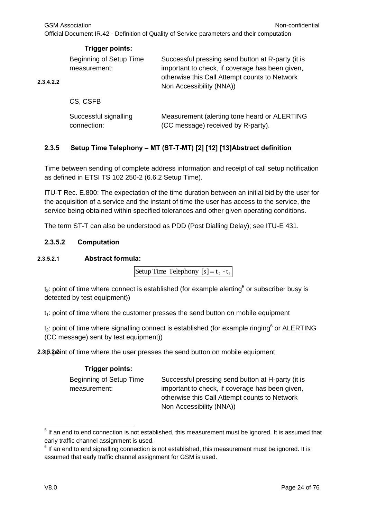GSM Association **Non-confidential** 

Official Document IR.42 - Definition of Quality of Service parameters and their computation

|           | Trigger points:                         |                                                                                                                                                                                   |
|-----------|-----------------------------------------|-----------------------------------------------------------------------------------------------------------------------------------------------------------------------------------|
| 2.3.4.2.2 | Beginning of Setup Time<br>measurement: | Successful pressing send button at R-party (it is<br>important to check, if coverage has been given,<br>otherwise this Call Attempt counts to Network<br>Non Accessibility (NNA)) |
|           | CS, CSFB                                |                                                                                                                                                                                   |
|           | Successful signalling<br>connection:    | Measurement (alerting tone heard or ALERTING<br>(CC message) received by R-party).                                                                                                |

## **2.3.5 Setup Time Telephony – MT (ST-T-MT) [2] [12] [13]Abstract definition**

Time between sending of complete address information and receipt of call setup notification as defined in ETSI TS 102 250-2 (6.6.2 Setup Time).

ITU-T Rec. E.800: The expectation of the time duration between an initial bid by the user for the acquisition of a service and the instant of time the user has access to the service, the service being obtained within specified tolerances and other given operating conditions.

The term ST-T can also be understood as PDD (Post Dialling Delay); see ITU-E 431.

#### **2.3.5.2 Computation**

#### **2.3.5.2.1 Abstract formula:**

Setup Time Telephony  $[s] = t_2 - t_1$ 

 $t_2$ : point of time where connect is established (for example alerting<sup>5</sup> or subscriber busy is detected by test equipment))

 $t<sub>1</sub>$ : point of time where the customer presses the send button on mobile equipment

 $t_2$ : point of time where signalling connect is established (for example ringing<sup>6</sup> or ALERTING (CC message) sent by test equipment))

2.3.5. paint of time where the user presses the send button on mobile equipment

#### **Trigger points:**

Beginning of Setup Time measurement: Successful pressing send button at H-party (it is important to check, if coverage has been given, otherwise this Call Attempt counts to Network Non Accessibility (NNA))

 5 If an end to end connection is not established, this measurement must be ignored. It is assumed that early traffic channel assignment is used.

 $<sup>6</sup>$  If an end to end signalling connection is not established, this measurement must be ignored. It is</sup> assumed that early traffic channel assignment for GSM is used.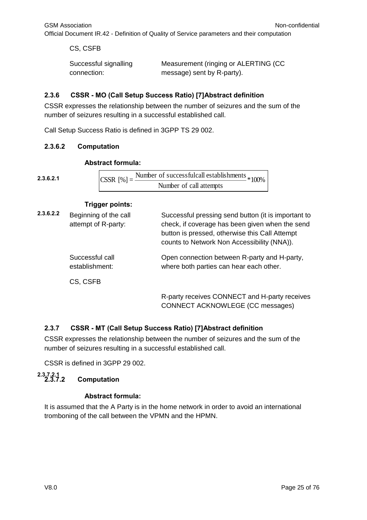CS, CSFB Successful signalling connection: Measurement (ringing or ALERTING (CC message) sent by R-party).

#### **2.3.6 CSSR - MO (Call Setup Success Ratio) [7]Abstract definition**

CSSR expresses the relationship between the number of seizures and the sum of the number of seizures resulting in a successful established call.

Call Setup Success Ratio is defined in 3GPP TS 29 002.

#### **2.3.6.2 Computation**

**2.3.6.2.1** CSSR  $[\%] = \frac{\text{Number of successful call establishes}}{100\%}$ Number of call attempts

#### **Trigger points:**

| 2.3.6.2.2 | Beginning of the call<br>attempt of R-party: | Successful pressing send button (it is important to<br>check, if coverage has been given when the send<br>button is pressed, otherwise this Call Attempt<br>counts to Network Non Accessibility (NNA)). |
|-----------|----------------------------------------------|---------------------------------------------------------------------------------------------------------------------------------------------------------------------------------------------------------|
|           | Successful call<br>establishment:            | Open connection between R-party and H-party,<br>where both parties can hear each other.                                                                                                                 |
|           | CS, CSFB                                     |                                                                                                                                                                                                         |
|           |                                              | R-party receives CONNECT and H-party receives<br>CONNECT ACKNOWLEGE (CC messages)                                                                                                                       |

## **2.3.7 CSSR - MT (Call Setup Success Ratio) [7]Abstract definition**

CSSR expresses the relationship between the number of seizures and the sum of the number of seizures resulting in a successful established call.

CSSR is defined in 3GPP 29 002.

#### **2.3.7.2 Computation 2.3.7.2.1**

#### **Abstract formula:**

It is assumed that the A Party is in the home network in order to avoid an international tromboning of the call between the VPMN and the HPMN.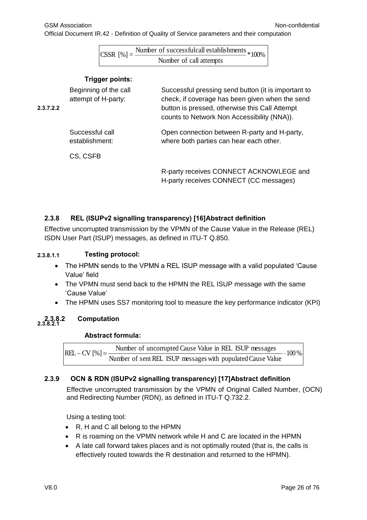|  | $CSSR [%]=$ | - Number of successfulcall establishments $*100\%$ |
|--|-------------|----------------------------------------------------|
|  |             | Number of call attempts                            |

#### **Trigger points:**

| 2.3.7.2.2 | Beginning of the call<br>attempt of H-party: | Successful pressing send button (it is important to<br>check, if coverage has been given when the send<br>button is pressed, otherwise this Call Attempt<br>counts to Network Non Accessibility (NNA)). |
|-----------|----------------------------------------------|---------------------------------------------------------------------------------------------------------------------------------------------------------------------------------------------------------|
|           | Successful call<br>establishment:            | Open connection between R-party and H-party,<br>where both parties can hear each other.                                                                                                                 |
|           | CS, CSFB                                     |                                                                                                                                                                                                         |
|           |                                              | R-party receives CONNECT ACKNOWLEGE and<br>H-party receives CONNECT (CC messages)                                                                                                                       |

#### **2.3.8 REL (ISUPv2 signalling transparency) [16]Abstract definition**

Effective uncorrupted transmission by the VPMN of the Cause Value in the Release (REL) ISDN User Part (ISUP) messages, as defined in ITU-T Q.850.

#### **2.3.8.1.1 Testing protocol:**

- The HPMN sends to the VPMN a REL ISUP message with a valid populated 'Cause Value' field
- The VPMN must send back to the HPMN the REL ISUP message with the same 'Cause Value'
- The HPMN uses SS7 monitoring tool to measure the key performance indicator (KPI)

#### **2.3.8.2 Computation** 2.3.8.2

#### **Abstract formula:**

 $.100\%$ Number of sent REL ISUP messages with populated Cause Value  $REL - CV$  [%] =  $\frac{\text{Number of uncorupted Cause Value in REL ISUP messages}}{\text{Nune of uncorupted Cause Value}}$ 

#### **2.3.9 OCN & RDN (ISUPv2 signalling transparency) [17]Abstract definition**

Effective uncorrupted transmission by the VPMN of Original Called Number, (OCN) and Redirecting Number (RDN), as defined in ITU-T Q.732.2.

Using a testing tool:

- R, H and C all belong to the HPMN
- R is roaming on the VPMN network while H and C are located in the HPMN
- A late call forward takes places and is not optimally routed (that is, the calls is effectively routed towards the R destination and returned to the HPMN).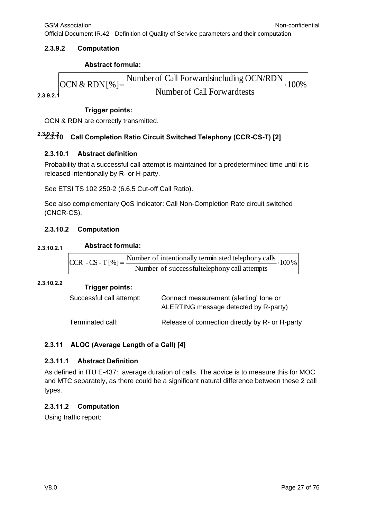Official Document IR.42 - Definition of Quality of Service parameters and their computation

#### **2.3.9.2 Computation**

#### **Abstract formula:**



#### **Trigger points:**

OCN & RDN are correctly transmitted.

# **2.3.9.2.2 2.3.10 Call Completion Ratio Circuit Switched Telephony (CCR-CS-T) [2]**

#### **2.3.10.1 Abstract definition**

Probability that a successful call attempt is maintained for a predetermined time until it is released intentionally by R- or H-party.

See ETSI TS 102 250-2 (6.6.5 Cut-off Call Ratio).

See also complementary QoS Indicator: Call Non-Completion Rate circuit switched (CNCR-CS).

#### **2.3.10.2 Computation**

#### **Abstract formula: 2.3.10.2.1**

| $ {\rm CCR}$ - CS - T [%] = $\frac{\text{Number of intentionally terminal}}{\text{Number of uniformly cells}}$ . 100 % |  |
|------------------------------------------------------------------------------------------------------------------------|--|
| Number of successfultelephony call attempts                                                                            |  |

# **Trigger points: 2.3.10.2.2**

| Successful call attempt: | Connect measurement (alerting' tone or<br>ALERTING message detected by R-party) |
|--------------------------|---------------------------------------------------------------------------------|
| Terminated call:         | Release of connection directly by R- or H-party                                 |

#### **2.3.11 ALOC (Average Length of a Call) [4]**

#### **2.3.11.1 Abstract Definition**

As defined in ITU E-437: average duration of calls. The advice is to measure this for MOC and MTC separately, as there could be a significant natural difference between these 2 call types.

#### **2.3.11.2 Computation**

Using traffic report: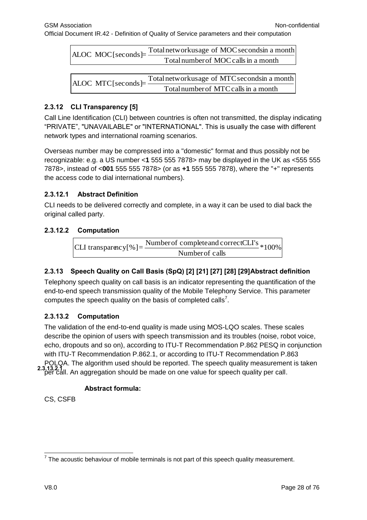| ALOC MOC[seconds]= $\frac{1}{2}$ | Total networkusage of MOC secondsin a month |
|----------------------------------|---------------------------------------------|
|                                  | Total number of MOC calls in a month        |

Totalnumber of MTCcallsin a month ALOC MTC[seconds] $=$  Total network usage of MTC seconds in a month

#### **2.3.12 CLI Transparency [5]**

Call Line Identification (CLI) between countries is often not transmitted, the display indicating "PRIVATE", "UNAVAILABLE" or "INTERNATIONAL". This is usually the case with different network types and international roaming scenarios.

Overseas number may be compressed into a "domestic" format and thus possibly not be recognizable: e.g. a US number <**1** 555 555 7878> may be displayed in the UK as <555 555 7878>, instead of <**001** 555 555 7878> (or as **+1** 555 555 7878), where the "+" represents the access code to dial international numbers).

#### **2.3.12.1 Abstract Definition**

CLI needs to be delivered correctly and complete, in a way it can be used to dial back the original called party.

#### **2.3.12.2 Computation**

Number of completeand correctCLI's  $*100\%$ Number of calls CLI transparency  $[%]$  =

#### **2.3.13 Speech Quality on Call Basis (SpQ) [2] [21] [27] [28] [29]Abstract definition**

Telephony speech quality on call basis is an indicator representing the quantification of the end-to-end speech transmission quality of the Mobile Telephony Service. This parameter computes the speech quality on the basis of completed calls<sup>7</sup>.

#### **2.3.13.2 Computation**

The validation of the end-to-end quality is made using MOS-LQO scales. These scales describe the opinion of users with speech transmission and its troubles (noise, robot voice, echo, dropouts and so on), according to ITU-T Recommendation P.862 PESQ in conjunction with ITU-T Recommendation P.862.1, or according to ITU-T Recommendation P.863 POLQA. The algorithm used should be reported. The speech quality measurement is taken per call. An aggregation should be made on one value for speech quality per call. **2.3.13.2.1**

#### **Abstract formula:**

CS, CSFB

 7 The acoustic behaviour of mobile terminals is not part of this speech quality measurement.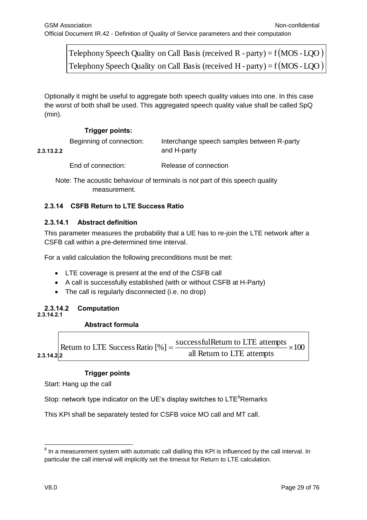#### **Trigger points:**

|                                     | Telephony Speech Quality on Call Basis (received R - party) = $f(MOS$ - LQO)                             |                                                                                                                                                                                                         |               |  |
|-------------------------------------|----------------------------------------------------------------------------------------------------------|---------------------------------------------------------------------------------------------------------------------------------------------------------------------------------------------------------|---------------|--|
|                                     | Telephony Speech Quality on Call Basis (received H - party) = $f(MOS$ - LQO)                             |                                                                                                                                                                                                         |               |  |
|                                     |                                                                                                          |                                                                                                                                                                                                         |               |  |
| (min).                              |                                                                                                          | Optionally it might be useful to aggregate both speech quality values into one. In this case<br>the worst of both shall be used. This aggregated speech quality value shall be called SpQ               |               |  |
|                                     | <b>Trigger points:</b>                                                                                   |                                                                                                                                                                                                         |               |  |
| 2.3.13.2.2                          | Beginning of connection:                                                                                 | Interchange speech samples between R-party<br>and H-party                                                                                                                                               |               |  |
|                                     | End of connection:                                                                                       | Release of connection                                                                                                                                                                                   |               |  |
|                                     | measurement.                                                                                             | Note: The acoustic behaviour of terminals is not part of this speech quality                                                                                                                            |               |  |
| 2.3.14                              | <b>CSFB Return to LTE Success Ratio</b>                                                                  |                                                                                                                                                                                                         |               |  |
| 2.3.14.1                            | <b>Abstract definition</b><br>CSFB call within a pre-determined time interval.                           | This parameter measures the probability that a UE has to re-join the LTE network after a                                                                                                                |               |  |
|                                     | For a valid calculation the following preconditions must be met:                                         |                                                                                                                                                                                                         |               |  |
| $\bullet$<br>$\bullet$<br>$\bullet$ | LTE coverage is present at the end of the CSFB call<br>The call is regularly disconnected (i.e. no drop) | A call is successfully established (with or without CSFB at H-Party)                                                                                                                                    |               |  |
| 2.3.14.2<br>2.3.14.2.1              | Computation                                                                                              |                                                                                                                                                                                                         |               |  |
|                                     | <b>Abstract formula</b>                                                                                  |                                                                                                                                                                                                         |               |  |
| 2.3.14.2.2                          |                                                                                                          | Return to LTE Success Ratio $[\%] = \frac{\text{successfulReturn to LTE attempts}}{2}$<br>all Return to LTE attempts                                                                                    | $\div 100$    |  |
|                                     | <b>Trigger points</b><br>Start: Hang up the call                                                         |                                                                                                                                                                                                         |               |  |
|                                     |                                                                                                          | Stop: network type indicator on the UE's display switches to $LTE^8$ Remarks                                                                                                                            |               |  |
|                                     |                                                                                                          | This KPI shall be separately tested for CSFB voice MO call and MT call.                                                                                                                                 |               |  |
|                                     |                                                                                                          | $8$ In a measurement system with automatic call dialling this KPI is influenced by the call interval. In<br>particular the call interval will implicitly set the timeout for Return to LTE calculation. |               |  |
| V8.0                                |                                                                                                          |                                                                                                                                                                                                         | Page 29 of 76 |  |

#### **2.3.14 CSFB Return to LTE Success Ratio**

#### **2.3.14.1 Abstract definition**

- LTE coverage is present at the end of the CSFB call
- A call is successfully established (with or without CSFB at H-Party)
- The call is regularly disconnected (i.e. no drop)

#### **2.3.14.2 Computation 2.3.14.2.1**

#### **Abstract formula**

#### **Trigger points**

 $8$  In a measurement system with automatic call dialling this KPI is influenced by the call interval. In particular the call interval will implicitly set the timeout for Return to LTE calculation.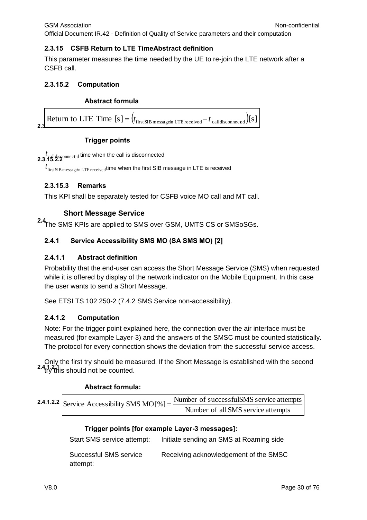#### **2.3.15 CSFB Return to LTE TimeAbstract definition**

This parameter measures the time needed by the UE to re-join the LTE network after a CSFB call.

#### **2.3.15.2 Computation**

#### **Abstract formula**

**2.3.**<br>**2.3.**<br>**2.3.** 

#### **Trigger points**

2.3.15.2.2<sup>0</sup> *t*<br>2.3.15.2.2<sup>0</sup>

 $t_{\rm firstSIB\, message}$ in LTE $_{\rm received}$ time when the first SIB message in LTE is received

#### **2.3.15.3 Remarks**

This KPI shall be separately tested for CSFB voice MO call and MT call.

#### **Short Message Service**

<span id="page-29-0"></span>**2.4**The SMS KPIs are applied to SMS over GSM, UMTS CS or SMSoSGs.

#### **2.4.1 Service Accessibility SMS MO (SA SMS MO) [2]**

#### **2.4.1.1 Abstract definition**

Probability that the end-user can access the Short Message Service (SMS) when requested while it is offered by display of the network indicator on the Mobile Equipment. In this case the user wants to send a Short Message.

See ETSI TS 102 250-2 (7.4.2 SMS Service non-accessibility).

#### **2.4.1.2 Computation**

Note: For the trigger point explained here, the connection over the air interface must be measured (for example Layer-3) and the answers of the SMSC must be counted statistically. The protocol for every connection shows the deviation from the successful service access.

Only the first try should be measured. If the Short Message is established with the second try this should not be counted. **2.4.1.2.1**

#### **Abstract formula:**

**2.4.1.2.2** Service Accessibility SMS MO 
$$
[%]
$$
 =  $\frac{\text{Number of successful SMS service attempts}}{\text{Number of all SMS service attempts}}$ 

#### **Trigger points [for example Layer-3 messages]:**

Start SMS service attempt: Initiate sending an SMS at Roaming side

Successful SMS service attempt: Receiving acknowledgement of the SMSC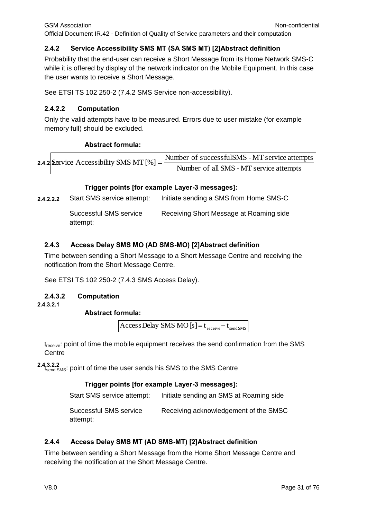#### **2.4.2 Service Accessibility SMS MT (SA SMS MT) [2]Abstract definition**

Probability that the end-user can receive a Short Message from its Home Network SMS-C while it is offered by display of the network indicator on the Mobile Equipment. In this case the user wants to receive a Short Message.

See ETSI TS 102 250-2 (7.4.2 SMS Service non-accessibility).

#### **2.4.2.2 Computation**

Only the valid attempts have to be measured. Errors due to user mistake (for example memory full) should be excluded.

#### **Abstract formula:**

**2.4.2.** Service Accessibility SMS MT  $[\%] =$ Number of all SMS - MT service attempts Number of successfulSMS - MT service attempts

#### **Trigger points [for example Layer-3 messages]:**

**2.4.2.2.2** Start SMS service attempt: Initiate sending a SMS from Home SMS-C

Successful SMS service attempt: Receiving Short Message at Roaming side

#### **2.4.3 Access Delay SMS MO (AD SMS-MO) [2]Abstract definition**

Time between sending a Short Message to a Short Message Centre and receiving the notification from the Short Message Centre.

See ETSI TS 102 250-2 (7.4.3 SMS Access Delay).

#### **2.4.3.2 Computation**

**2.4.3.2.1**

#### **Abstract formula:**

AccessDelay SMS MO  $[s] = t_{\text{receive}} - t_{\text{send5MS}}$ 

t<sub>receive</sub>: point of time the mobile equipment receives the send confirmation from the SMS **Centre** 

2.4.3.2.2<br><sup>1</sup>s<sub>end SMS</sub>: point of time the user sends his SMS to the SMS Centre

#### **Trigger points [for example Layer-3 messages]:**

Start SMS service attempt: Initiate sending an SMS at Roaming side

Successful SMS service attempt: Receiving acknowledgement of the SMSC

#### **2.4.4 Access Delay SMS MT (AD SMS-MT) [2]Abstract definition**

Time between sending a Short Message from the Home Short Message Centre and receiving the notification at the Short Message Centre.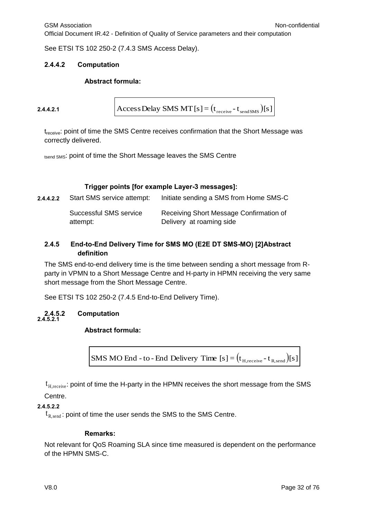See ETSI TS 102 250-2 (7.4.3 SMS Access Delay).

#### **2.4.4.2 Computation**

#### **Abstract formula:**

```
2.4.4.2.1
```

```
AccessDelay SMS MT [s] = (t_{\text{receive}} - t_{\text{sendSMS}})[s]
```
t<sub>receive</sub>: point of time the SMS Centre receives confirmation that the Short Message was correctly delivered.

tsend SMS: point of time the Short Message leaves the SMS Centre

#### **Trigger points [for example Layer-3 messages]:**

| 2.4.4.2.2 | Start SMS service attempt:         | Initiate sending a SMS from Home SMS-C                              |
|-----------|------------------------------------|---------------------------------------------------------------------|
|           | Successful SMS service<br>attempt: | Receiving Short Message Confirmation of<br>Delivery at roaming side |

#### **2.4.5 End-to-End Delivery Time for SMS MO (E2E DT SMS-MO) [2]Abstract definition**

The SMS end-to-end delivery time is the time between sending a short message from Rparty in VPMN to a Short Message Centre and H-party in HPMN receiving the very same short message from the Short Message Centre.

See ETSI TS 102 250-2 (7.4.5 End-to-End Delivery Time).

#### **2.4.5.2 Computation 2.4.5.2.1**

#### **Abstract formula:**



 $\mathfrak{t}_{\text{\tiny H,receive}}$ : point of time the H-party in the HPMN receives the short message from the SMS Centre.

#### **2.4.5.2.2**

 $\mathfrak{t}_{\mathrm{R,send}}$ : point of time the user sends the SMS to the SMS Centre.

#### **Remarks:**

Not relevant for QoS Roaming SLA since time measured is dependent on the performance of the HPMN SMS-C.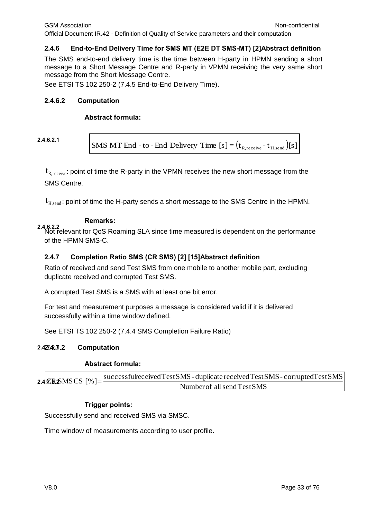#### **2.4.6 End-to-End Delivery Time for SMS MT (E2E DT SMS-MT) [2]Abstract definition**

The SMS end-to-end delivery time is the time between H-party in HPMN sending a short message to a Short Message Centre and R-party in VPMN receiving the very same short message from the Short Message Centre.

See ETSI TS 102 250-2 (7.4.5 End-to-End Delivery Time).

#### **2.4.6.2 Computation**

#### **Abstract formula:**

**2.4.6.2.1**

SMS MT End - to - End Delivery Time  $[s] = (t_{R,\text{receive}} - t_{H,\text{send}})[s]$ 

 $\mathfrak{t}_{\mathrm{R}, \mathrm{receive}}$ : point of time the R-party in the VPMN receives the new short message from the SMS Centre.

 $\mathfrak{t}_{\texttt{H},\texttt{send}}$ : point of time the H-party sends a short message to the SMS Centre in the HPMN.

#### **Remarks:**

**2.4.6.2.2** Not relevant for QoS Roaming SLA since time measured is dependent on the performance of the HPMN SMS-C.

#### **2.4.7 Completion Ratio SMS (CR SMS) [2] [15]Abstract definition**

Ratio of received and send Test SMS from one mobile to another mobile part, excluding duplicate received and corrupted Test SMS.

A corrupted Test SMS is a SMS with at least one bit error.

For test and measurement purposes a message is considered valid if it is delivered successfully within a time window defined.

See ETSI TS 102 250-2 (7.4.4 SMS Completion Failure Ratio)

#### **2.4.7.2 Computation 2.427.42.7.2**

#### **Abstract formula:**

**2.4.CRSMSCS**  $\lceil \% \rceil =$ Number of allsendTest SMS  $successful receivedTest SMS$ -duplicate received Test SMS- corrupted Test SMS

#### **Trigger points:**

Successfully send and received SMS via SMSC.

Time window of measurements according to user profile.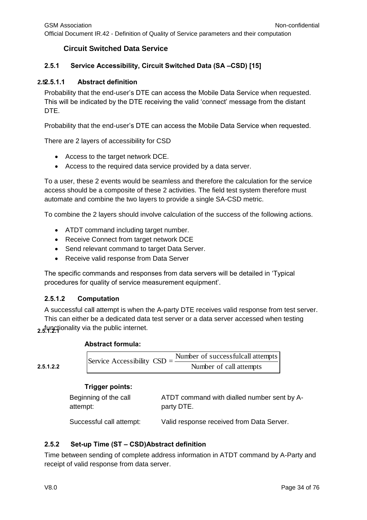#### **Circuit Switched Data Service**

#### <span id="page-33-0"></span>**2.5.1 Service Accessibility, Circuit Switched Data (SA –CSD) [15]**

#### **2.5 2.5.1.1 Abstract definition**

Probability that the end-user's DTE can access the Mobile Data Service when requested. This will be indicated by the DTE receiving the valid 'connect' message from the distant DTE.

Probability that the end-user's DTE can access the Mobile Data Service when requested.

There are 2 layers of accessibility for CSD

- Access to the target network DCE.
- Access to the required data service provided by a data server.

To a user, these 2 events would be seamless and therefore the calculation for the service access should be a composite of these 2 activities. The field test system therefore must automate and combine the two layers to provide a single SA-CSD metric.

To combine the 2 layers should involve calculation of the success of the following actions.

- ATDT command including target number.
- Receive Connect from target network DCE
- Send relevant command to target Data Server.
- Receive valid response from Data Server

The specific commands and responses from data servers will be detailed in 'Typical procedures for quality of service measurement equipment'.

#### **2.5.1.2 Computation**

A successful call attempt is when the A-party DTE receives valid response from test server. This can either be a dedicated data test server or a data server accessed when testing 2.5. Where ionality via the public internet.

#### **Abstract formula:**

**2.5.1.2.2**

| Service Accessibility $CSD = -$ | Number of successfulcall attempts |
|---------------------------------|-----------------------------------|
|                                 | Number of call attempts           |

#### **Trigger points:**

| Beginning of the call | ATDT command with dialled number sent by A- |
|-----------------------|---------------------------------------------|
| attempt:              | party DTE.                                  |

Successful call attempt: Valid response received from Data Server.

#### **2.5.2 Set-up Time (ST – CSD)Abstract definition**

Time between sending of complete address information in ATDT command by A-Party and receipt of valid response from data server.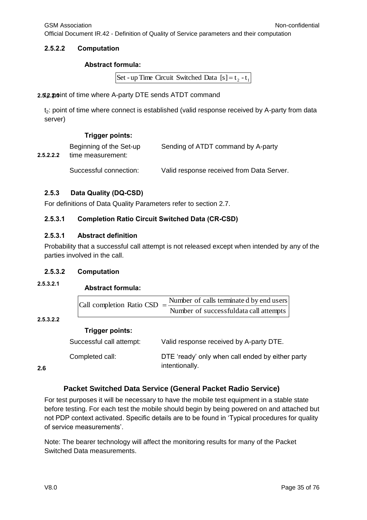Official Document IR.42 - Definition of Quality of Service parameters and their computation

#### **2.5.2.2 Computation**

#### **Abstract formula:**

Set - up Time Circuit Switched Data  $[s] = t_2 - t_1$ 

2.5.2.2.0 point of time where A-party DTE sends ATDT command

 $t<sub>2</sub>$ : point of time where connect is established (valid response received by A-party from data server)

#### **Trigger points:**

| 2.5.2.2.2 | Beginning of the Set-up<br>time measurement: | Sending of ATDT command by A-party        |
|-----------|----------------------------------------------|-------------------------------------------|
|           | Successful connection:                       | Valid response received from Data Server. |

#### **2.5.3 Data Quality (DQ-CSD)**

For definitions of Data Quality Parameters refer to section 2.7.

#### **2.5.3.1 Completion Ratio Circuit Switched Data (CR-CSD)**

#### **2.5.3.1 Abstract definition**

Probability that a successful call attempt is not released except when intended by any of the parties involved in the call.

#### **2.5.3.2 Computation**

**Abstract formula: 2.5.3.2.1**

| Call completion Ratio CSD $=\frac{1}{2}$ | Number of calls terminated by end users |
|------------------------------------------|-----------------------------------------|
|                                          | Number of successfuldata call attempts  |

#### **2.5.3.2.2**

#### **Trigger points:**

| Successful call attempt: | Valid response received by A-party DTE.                            |
|--------------------------|--------------------------------------------------------------------|
| Completed call:          | DTE 'ready' only when call ended by either party<br>intentionally. |

<span id="page-34-0"></span>**2.6**

#### **Packet Switched Data Service (General Packet Radio Service)**

For test purposes it will be necessary to have the mobile test equipment in a stable state before testing. For each test the mobile should begin by being powered on and attached but not PDP context activated. Specific details are to be found in 'Typical procedures for quality of service measurements'.

Note: The bearer technology will affect the monitoring results for many of the Packet Switched Data measurements.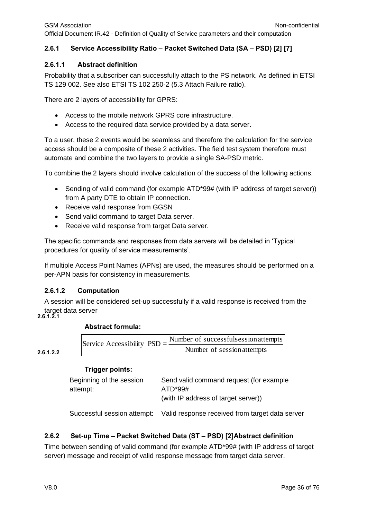## **2.6.1 Service Accessibility Ratio – Packet Switched Data (SA – PSD) [2] [7]**

#### **2.6.1.1 Abstract definition**

Probability that a subscriber can successfully attach to the PS network. As defined in ETSI TS 129 002. See also ETSI TS 102 250-2 (5.3 Attach Failure ratio).

There are 2 layers of accessibility for GPRS:

- Access to the mobile network GPRS core infrastructure.
- Access to the required data service provided by a data server.

To a user, these 2 events would be seamless and therefore the calculation for the service access should be a composite of these 2 activities. The field test system therefore must automate and combine the two layers to provide a single SA-PSD metric.

To combine the 2 layers should involve calculation of the success of the following actions.

- Sending of valid command (for example ATD\*99# (with IP address of target server)) from A party DTE to obtain IP connection.
- Receive valid response from GGSN
- Send valid command to target Data server.
- Receive valid response from target Data server.

The specific commands and responses from data servers will be detailed in 'Typical procedures for quality of service measurements'.

If multiple Access Point Names (APNs) are used, the measures should be performed on a per-APN basis for consistency in measurements.

#### **2.6.1.2 Computation**

A session will be considered set-up successfully if a valid response is received from the target data server

#### **2.6.1.2.1**

#### **Abstract formula:**

**2.6.1.2.2**

| Service Accessibility $PSD = \frac{1}{2}$ | Number of successfulsession attempts |
|-------------------------------------------|--------------------------------------|
|                                           | Number of session attempts           |

#### **Trigger points:**

| Send valid command request (for example |
|-----------------------------------------|
| ATD*99#                                 |
| (with IP address of target server))     |
|                                         |

Successful session attempt: Valid response received from target data server

## **2.6.2 Set-up Time – Packet Switched Data (ST – PSD) [2]Abstract definition**

Time between sending of valid command (for example ATD\*99# (with IP address of target server) message and receipt of valid response message from target data server.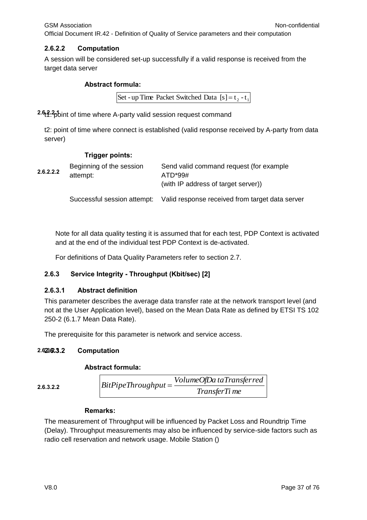### **2.6.2.2 Computation**

A session will be considered set-up successfully if a valid response is received from the target data server

#### **Abstract formula:**

```
Set - up Time Packet Switched Data [s] = t_2 - t_1
```
2.6<sub>1</sub>? bint of time where A-party valid session request command

t2: point of time where connect is established (valid response received by A-party from data server)

#### **Trigger points:**

| 2.6.2.2.2 | Beginning of the session<br>attempt: | Send valid command request (for example<br>$ATD*99#$<br>(with IP address of target server)) |
|-----------|--------------------------------------|---------------------------------------------------------------------------------------------|
|           |                                      | Successful session attempt: Valid response received from target data server                 |

Note for all data quality testing it is assumed that for each test, PDP Context is activated and at the end of the individual test PDP Context is de-activated.

For definitions of Data Quality Parameters refer to section 2.7.

#### **2.6.3 Service Integrity - Throughput (Kbit/sec) [2]**

#### **2.6.3.1 Abstract definition**

This parameter describes the average data transfer rate at the network transport level (and not at the User Application level), based on the Mean Data Rate as defined by ETSI TS 102 250-2 (6.1.7 Mean Data Rate).

The prerequisite for this parameter is network and service access.

#### **2.6.3.2 Computation 2.6.3.2.1**

#### **Abstract formula:**

#### **2.6.3.2.2**

| $BitPipeThroughput =$ | VolumeOfDa taTransferred |
|-----------------------|--------------------------|
|                       | TransferTi me            |

#### **Remarks:**

The measurement of Throughput will be influenced by Packet Loss and Roundtrip Time (Delay). Throughput measurements may also be influenced by service-side factors such as radio cell reservation and network usage. Mobile Station ()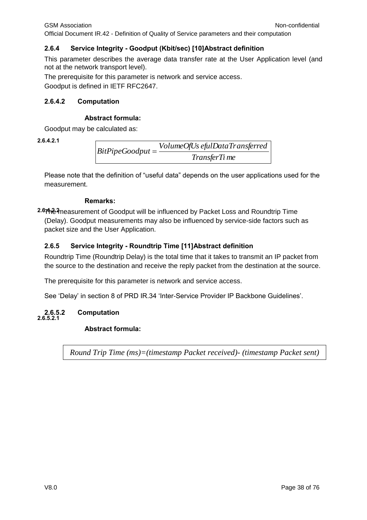GSM Association **Non-confidential** Official Document IR.42 - Definition of Quality of Service parameters and their computation

# **2.6.4 Service Integrity - Goodput (Kbit/sec) [10]Abstract definition**

This parameter describes the average data transfer rate at the User Application level (and not at the network transport level).

The prerequisite for this parameter is network and service access.

Goodput is defined in IETF RFC2647.

# **2.6.4.2 Computation**

# **Abstract formula:**

Goodput may be calculated as:

**2.6.4.2.1**

*TransferTi me VolumeOfUs efulDataTransferred BitPipeGoodput*

Please note that the definition of "useful data" depends on the user applications used for the measurement.

# **Remarks:**

**2.6.4.2.2** The measurement of Goodput will be influenced by Packet Loss and Roundtrip Time (Delay). Goodput measurements may also be influenced by service-side factors such as packet size and the User Application.

# **2.6.5 Service Integrity - Roundtrip Time [11]Abstract definition**

Roundtrip Time (Roundtrip Delay) is the total time that it takes to transmit an IP packet from the source to the destination and receive the reply packet from the destination at the source.

The prerequisite for this parameter is network and service access.

See 'Delay' in section 8 of PRD IR.34 'Inter-Service Provider IP Backbone Guidelines'.

#### **2.6.5.2 Computation 2.6.5.2.1**

# **Abstract formula:**

*Round Trip Time (ms)=(timestamp Packet received)- (timestamp Packet sent)*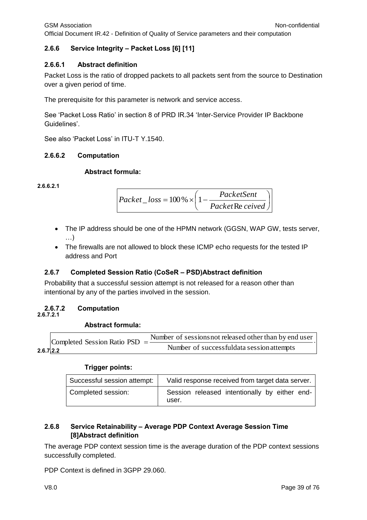# **2.6.6 Service Integrity – Packet Loss [6] [11]**

# **2.6.6.1 Abstract definition**

Packet Loss is the ratio of dropped packets to all packets sent from the source to Destination over a given period of time.

The prerequisite for this parameter is network and service access.

See 'Packet Loss Ratio' in section 8 of PRD IR.34 'Inter-Service Provider IP Backbone Guidelines'.

See also 'Packet Loss' in ITU-T Y.1540.

# **2.6.6.2 Computation**

# **Abstract formula:**

**2.6.6.2.1**

$$
Packet\_loss = 100\% \times \left(1 - \frac{PacketSent}{PacketRe\,ceived}\right)
$$

- The IP address should be one of the HPMN network (GGSN, WAP GW, tests server, …)
- The firewalls are not allowed to block these ICMP echo requests for the tested IP address and Port

# **2.6.7 Completed Session Ratio (CoSeR – PSD)Abstract definition**

Probability that a successful session attempt is not released for a reason other than intentional by any of the parties involved in the session.

# **2.6.7.2 Computation**

**2.6.7.2.1**

# **Abstract formula:**

|           | Completed Session Ratio PSD $=\frac{1}{2}$ | Number of sessions not released other than by end user |
|-----------|--------------------------------------------|--------------------------------------------------------|
| 2.6.712.2 |                                            | Number of successfuldata session attempts              |

# **Trigger points:**

| Successful session attempt: | Valid response received from target data server.       |
|-----------------------------|--------------------------------------------------------|
| Completed session:          | Session released intentionally by either end-<br>user. |

# **2.6.8 Service Retainability – Average PDP Context Average Session Time [8]Abstract definition**

The average PDP context session time is the average duration of the PDP context sessions successfully completed.

PDP Context is defined in 3GPP 29.060.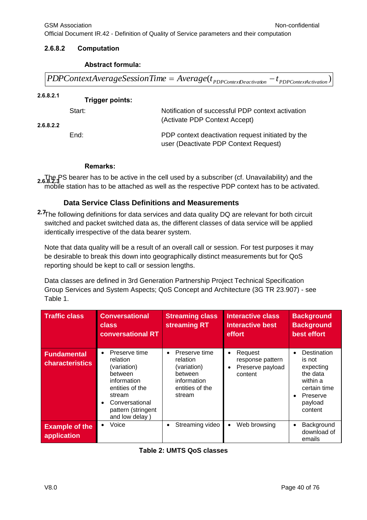#### **2.6.8.2 Computation**

#### **Abstract formula:**

 $PDPC on text Average Session Time = Average(t_{PDPC on textLocation} - t_{PDPC on textAction})$ 

**2.6.8.2.1 Trigger points:** 

| 2.6.8.2.2 | Start: | Notification of successful PDP context activation<br>(Activate PDP Context Accept)         |
|-----------|--------|--------------------------------------------------------------------------------------------|
|           | End:   | PDP context deactivation request initiated by the<br>user (Deactivate PDP Context Request) |

#### **Remarks:**

The PS bearer has to be active in the cell used by a subscriber (cf. Unavailability) and the 2.6.8.2.3 mobile station has to be attached as well as the respective PDP context has to be activated.

# **Data Service Class Definitions and Measurements**

**2.7**The following definitions for data services and data quality DQ are relevant for both circuit switched and packet switched data as, the different classes of data service will be applied identically irrespective of the data bearer system.

Note that data quality will be a result of an overall call or session. For test purposes it may be desirable to break this down into geographically distinct measurements but for QoS reporting should be kept to call or session lengths.

Data classes are defined in 3rd Generation Partnership Project Technical Specification Group Services and System Aspects; QoS Concept and Architecture (3G TR 23.907) - see Table 1.

| <b>Traffic class</b>                         | <b>Conversational</b><br>class<br><b>conversational RT</b>                                                                                                                          | <b>Streaming class</b><br>streaming RT                                                                       | <b>Interactive class</b><br><b>Interactive best</b><br>effort           | <b>Background</b><br><b>Background</b><br>best effort                                                        |
|----------------------------------------------|-------------------------------------------------------------------------------------------------------------------------------------------------------------------------------------|--------------------------------------------------------------------------------------------------------------|-------------------------------------------------------------------------|--------------------------------------------------------------------------------------------------------------|
| <b>Fundamental</b><br><b>characteristics</b> | Preserve time<br>$\bullet$<br>relation<br>(variation)<br>between<br>information<br>entities of the<br>stream<br>Conversational<br>$\bullet$<br>pattern (stringent<br>and low delay) | Preserve time<br>$\bullet$<br>relation<br>(variation)<br>between<br>information<br>entities of the<br>stream | Request<br>$\bullet$<br>response pattern<br>Preserve payload<br>content | Destination<br>is not<br>expecting<br>the data<br>within a<br>certain time<br>Preserve<br>payload<br>content |
| <b>Example of the</b><br>application         | Voice<br>$\bullet$                                                                                                                                                                  | Streaming video<br>$\bullet$                                                                                 | Web browsing                                                            | Background<br>download of<br>emails                                                                          |

|  |  |  |  | Table 2: UMTS QoS classes |
|--|--|--|--|---------------------------|
|--|--|--|--|---------------------------|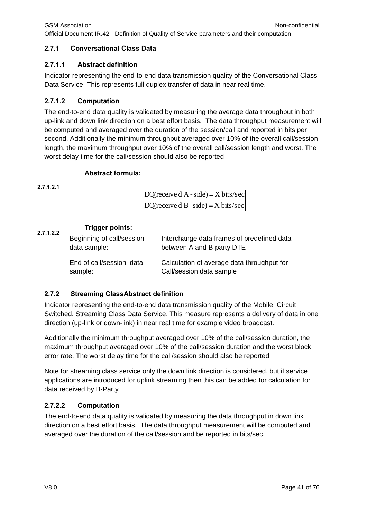#### **2.7.1 Conversational Class Data**

#### **2.7.1.1 Abstract definition**

Indicator representing the end-to-end data transmission quality of the Conversational Class Data Service. This represents full duplex transfer of data in near real time.

# **2.7.1.2 Computation**

The end-to-end data quality is validated by measuring the average data throughput in both up-link and down link direction on a best effort basis. The data throughput measurement will be computed and averaged over the duration of the session/call and reported in bits per second. Additionally the minimum throughput averaged over 10% of the overall call/session length, the maximum throughput over 10% of the overall call/session length and worst. The worst delay time for the call/session should also be reported

#### **Abstract formula:**

**2.7.1.2.1**

| DQ(receive $d A - side$ ) = X bits/sec |
|----------------------------------------|
| DQ(receive d B - side) = $X$ bits/sec  |

#### **Trigger points: 2.7.1.2.2**

| Beginning of call/session<br>data sample: | Interchange data frames of predefined data<br>between A and B-party DTE |
|-------------------------------------------|-------------------------------------------------------------------------|
| End of call/session data<br>sample:       | Calculation of average data throughput for<br>Call/session data sample  |

#### **2.7.2 Streaming ClassAbstract definition**

Indicator representing the end-to-end data transmission quality of the Mobile, Circuit Switched, Streaming Class Data Service. This measure represents a delivery of data in one direction (up-link or down-link) in near real time for example video broadcast.

Additionally the minimum throughput averaged over 10% of the call/session duration, the maximum throughput averaged over 10% of the call/session duration and the worst block error rate. The worst delay time for the call/session should also be reported

Note for streaming class service only the down link direction is considered, but if service applications are introduced for uplink streaming then this can be added for calculation for data received by B-Party

# **2.7.2.2 Computation**

The end-to-end data quality is validated by measuring the data throughput in down link direction on a best effort basis. The data throughput measurement will be computed and averaged over the duration of the call/session and be reported in bits/sec.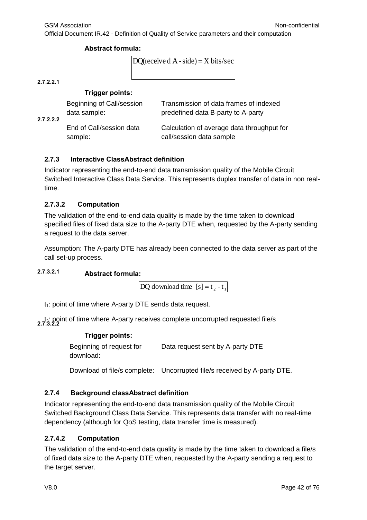#### **Abstract formula:**

```
DO(receive d A - side) = X bits/sec
```
**2.7.2.2.1**

# **Trigger points:**

| 2.7.2.2.2 | Beginning of Call/session<br>data sample: | Transmission of data frames of indexed<br>predefined data B-party to A-party |
|-----------|-------------------------------------------|------------------------------------------------------------------------------|
|           | End of Call/session data<br>sample:       | Calculation of average data throughput for<br>call/session data sample       |

# **2.7.3 Interactive ClassAbstract definition**

Indicator representing the end-to-end data transmission quality of the Mobile Circuit Switched Interactive Class Data Service. This represents duplex transfer of data in non realtime.

# **2.7.3.2 Computation**

The validation of the end-to-end data quality is made by the time taken to download specified files of fixed data size to the A-party DTE when, requested by the A-party sending a request to the data server.

Assumption: The A-party DTE has already been connected to the data server as part of the call set-up process.

# **Abstract formula: 2.7.3.2.1**

 $DQ$  download time  $[s] = t_2 - t_1$ 

 $t_1$ : point of time where A-party DTE sends data request.

t<sub>2</sub>: point of time where A-party receives complete uncorrupted requested file/s<br>2.7.3.2.2

#### **Trigger points:**

Beginning of request for download: Data request sent by A-party DTE

Download of file/s complete: Uncorrupted file/s received by A-party DTE.

# **2.7.4 Background classAbstract definition**

Indicator representing the end-to-end data transmission quality of the Mobile Circuit Switched Background Class Data Service. This represents data transfer with no real-time dependency (although for QoS testing, data transfer time is measured).

# **2.7.4.2 Computation**

The validation of the end-to-end data quality is made by the time taken to download a file/s of fixed data size to the A-party DTE when, requested by the A-party sending a request to the target server.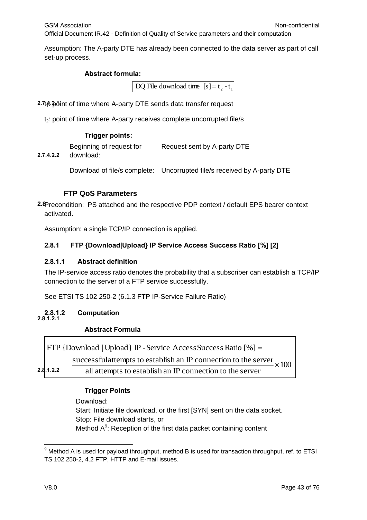Assumption: The A-party DTE has already been connected to the data server as part of call set-up process.

### **Abstract formula:**

DQ File download time  $[s] = t_2 - t_1$ 

2.7t<sub>4</sub>.20 tht of time where A-party DTE sends data transfer request

t<sub>2</sub>: point of time where A-party receives complete uncorrupted file/s

# **Trigger points:**

|               | Beginning of request for      | Request sent by A-party DTE |
|---------------|-------------------------------|-----------------------------|
| $\sim$ $\sim$ | الملحا حاجا والمستحدث والمراج |                             |

**2.7.4.2.2** download:

Download of file/s complete: Uncorrupted file/s received by A-party DTE

# **FTP QoS Parameters**

**2.8**Precondition: PS attached and the respective PDP context / default EPS bearer context activated.

Assumption: a single TCP/IP connection is applied.

# **2.8.1 FTP {Download|Upload} IP Service Access Success Ratio [%] [2]**

#### **2.8.1.1 Abstract definition**

The IP-service access ratio denotes the probability that a subscriber can establish a TCP/IP connection to the server of a FTP service successfully.

See ETSI TS 102 250-2 (6.1.3 FTP IP-Service Failure Ratio)

#### **2.8.1.2 Computation 2.8.1.2.1**

# **Abstract Formula**

|           | $ $ FTP {Download   Upload } IP - Service Access Success Ratio $[\%] =$      |  |
|-----------|------------------------------------------------------------------------------|--|
|           | successful attempts to establish an IP connection to the server $\times 100$ |  |
| 2.8.1.2.2 | all attempts to establish an IP connection to the server                     |  |

#### **Trigger Points**

Download:

Start: Initiate file download, or the first [SYN] sent on the data socket. Stop: File download starts, or Method A<sup>9</sup>: Reception of the first data packet containing content

Г

<sup>-</sup> $9$  Method A is used for payload throughput, method B is used for transaction throughput, ref. to ETSI TS 102 250-2, 4.2 FTP, HTTP and E-mail issues.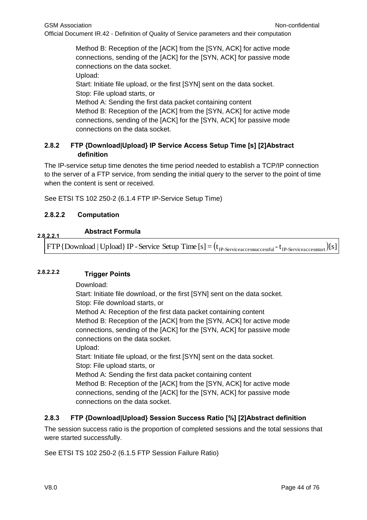Method B: Reception of the [ACK] from the [SYN, ACK] for active mode connections, sending of the [ACK] for the [SYN, ACK] for passive mode connections on the data socket.

Upload:

Start: Initiate file upload, or the first [SYN] sent on the data socket. Stop: File upload starts, or Method A: Sending the first data packet containing content Method B: Reception of the [ACK] from the [SYN, ACK] for active mode

connections, sending of the [ACK] for the [SYN, ACK] for passive mode connections on the data socket.

# **2.8.2 FTP {Download|Upload} IP Service Access Setup Time [s] [2]Abstract definition**

The IP-service setup time denotes the time period needed to establish a TCP/IP connection to the server of a FTP service, from sending the initial query to the server to the point of time when the content is sent or received.

See ETSI TS 102 250-2 (6.1.4 FTP IP-Service Setup Time)

# **2.8.2.2 Computation**

#### **Abstract Formula 2.8.2.2.1**

 $FTP\{Download\} IP$  - Service Setup Time  $[s] = (t_{IP\text{-}Serviceaccessucceed} - t_{IP\text{-}Serviceaccesstract})[s]$ 

# **Trigger Points 2.8.2.2.2**

Download:

Start: Initiate file download, or the first [SYN] sent on the data socket. Stop: File download starts, or Method A: Reception of the first data packet containing content Method B: Reception of the [ACK] from the [SYN, ACK] for active mode connections, sending of the [ACK] for the [SYN, ACK] for passive mode connections on the data socket. Upload: Start: Initiate file upload, or the first [SYN] sent on the data socket. Stop: File upload starts, or Method A: Sending the first data packet containing content Method B: Reception of the [ACK] from the [SYN, ACK] for active mode connections, sending of the [ACK] for the [SYN, ACK] for passive mode connections on the data socket.

# **2.8.3 FTP {Download|Upload} Session Success Ratio [%] [2]Abstract definition**

The session success ratio is the proportion of completed sessions and the total sessions that were started successfully.

See ETSI TS 102 250-2 (6.1.5 FTP Session Failure Ratio)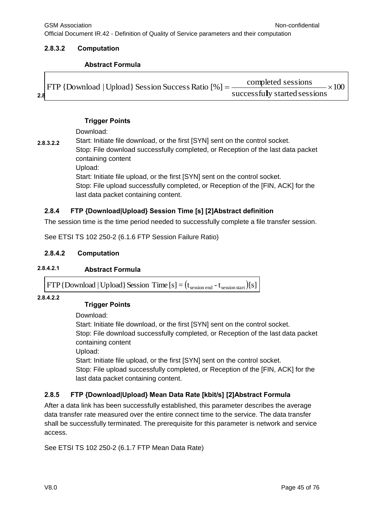# **2.8.3.2 Computation**

# **Abstract Formula**

|     | $\text{[FTP }{}$ [Download   Upload   Session Success Ratio $\lceil \% \rceil =$ | completed sessions<br>$\times100$ |
|-----|----------------------------------------------------------------------------------|-----------------------------------|
|     |                                                                                  |                                   |
| 2.8 |                                                                                  | successfully started sessions     |

### **Trigger Points**

Download:

**2.8.3.2.2** Start: Initiate file download, or the first [SYN] sent on the control socket. Stop: File download successfully completed, or Reception of the last data packet containing content Upload: Start: Initiate file upload, or the first [SYN] sent on the control socket.

Stop: File upload successfully completed, or Reception of the [FIN, ACK] for the last data packet containing content.

# **2.8.4 FTP {Download|Upload} Session Time [s] [2]Abstract definition**

The session time is the time period needed to successfully complete a file transfer session.

See ETSI TS 102 250-2 (6.1.6 FTP Session Failure Ratio)

# **2.8.4.2 Computation**

# **2.8.4.2.1 Abstract Formula**

 $FTP{Download | Upload}$  Session Time  $[s] = (t_{\text{session end}} - t_{\text{session start}})[s]$ 

**2.8.4.2.2**

# **Trigger Points**

Download:

Start: Initiate file download, or the first [SYN] sent on the control socket. Stop: File download successfully completed, or Reception of the last data packet containing content

Upload:

Start: Initiate file upload, or the first [SYN] sent on the control socket.

Stop: File upload successfully completed, or Reception of the [FIN, ACK] for the last data packet containing content.

# **2.8.5 FTP {Download|Upload} Mean Data Rate [kbit/s] [2]Abstract Formula**

After a data link has been successfully established, this parameter describes the average data transfer rate measured over the entire connect time to the service. The data transfer shall be successfully terminated. The prerequisite for this parameter is network and service access.

See ETSI TS 102 250-2 (6.1.7 FTP Mean Data Rate)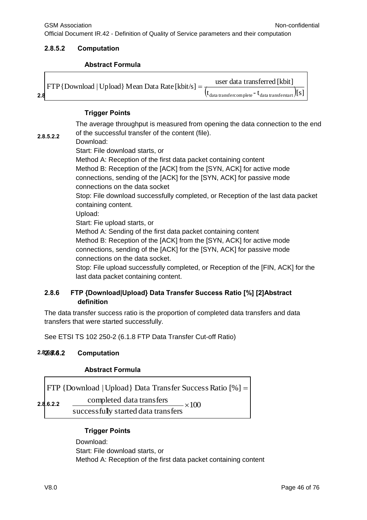# **2.8.5.2 Computation**

# **Abstract Formula**

|     | $\text{[FTP}$ {Download   Upload} Mean Data Rate [kbit/s] = | user data transferred [kbit]                                 |  |
|-----|-------------------------------------------------------------|--------------------------------------------------------------|--|
|     |                                                             | $(t_{data\,transfercomplete} - t_{data\,transferstart})$ [S] |  |
| 2.8 |                                                             |                                                              |  |

# **Trigger Points**

The average throughput is measured from opening the data connection to the end of the successful transfer of the content (file).

**2.8.5.2.2** Download:

Start: File download starts, or

Method A: Reception of the first data packet containing content Method B: Reception of the [ACK] from the [SYN, ACK] for active mode connections, sending of the [ACK] for the [SYN, ACK] for passive mode connections on the data socket

Stop: File download successfully completed, or Reception of the last data packet containing content.

Upload:

Start: Fie upload starts, or

Method A: Sending of the first data packet containing content

Method B: Reception of the [ACK] from the [SYN, ACK] for active mode connections, sending of the [ACK] for the [SYN, ACK] for passive mode connections on the data socket.

Stop: File upload successfully completed, or Reception of the [FIN, ACK] for the last data packet containing content.

# **2.8.6 FTP {Download|Upload} Data Transfer Success Ratio [%] [2]Abstract definition**

The data transfer success ratio is the proportion of completed data transfers and data transfers that were started successfully.

See ETSI TS 102 250-2 (6.1.8 FTP Data Transfer Cut-off Ratio)

#### **2.8.6.2 Computation 2.8.6.2.1**

# **Abstract Formula**

FTP {Download | Upload} Data Transfer Success Ratio [%] =  
\n**2.8.6.2.2** 
$$
\frac{\text{completed data transfers}}{\text{successfully started data transfers}} \times 100
$$

# **Trigger Points**

Download: Start: File download starts, or Method A: Reception of the first data packet containing content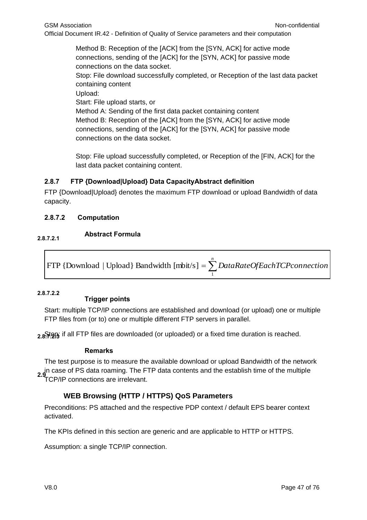Method B: Reception of the [ACK] from the [SYN, ACK] for active mode connections, sending of the [ACK] for the [SYN, ACK] for passive mode connections on the data socket.

Stop: File download successfully completed, or Reception of the last data packet containing content

Upload:

Start: File upload starts, or

Method A: Sending of the first data packet containing content Method B: Reception of the [ACK] from the [SYN, ACK] for active mode connections, sending of the [ACK] for the [SYN, ACK] for passive mode connections on the data socket.

Stop: File upload successfully completed, or Reception of the [FIN, ACK] for the last data packet containing content.

# **2.8.7 FTP {Download|Upload} Data CapacityAbstract definition**

FTP {Download|Upload} denotes the maximum FTP download or upload Bandwidth of data capacity.

# **2.8.7.2 Computation**

# **Abstract Formula 2.8.7.2.1**

 $=\sum^{n}$ *DataRateOfEachTCPconnection* 1 FTP {Download | Upload} Bandwidth [mbit/s]

# **2.8.7.2.2**

# **Trigger points**

Start: multiple TCP/IP connections are established and download (or upload) one or multiple FTP files from (or to) one or multiple different FTP servers in parallel.

2.8Stop: if all FTP files are downloaded (or uploaded) or a fixed time duration is reached.

# **Remarks**

The test purpose is to measure the available download or upload Bandwidth of the network in case of PS data roaming. The FTP data contents and the establish time of the multiple **2.9** TCP/IP connections are irrelevant.

# **WEB Browsing (HTTP / HTTPS) QoS Parameters**

Preconditions: PS attached and the respective PDP context / default EPS bearer context activated.

The KPIs defined in this section are generic and are applicable to HTTP or HTTPS.

Assumption: a single TCP/IP connection.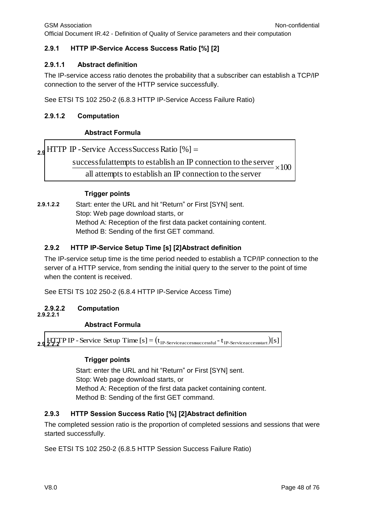#### **2.9.1 HTTP IP-Service Access Success Ratio [%] [2]**

#### **2.9.1.1 Abstract definition**

The IP-service access ratio denotes the probability that a subscriber can establish a TCP/IP connection to the server of the HTTP service successfully.

See ETSI TS 102 250-2 (6.8.3 HTTP IP-Service Access Failure Ratio)

#### **2.9.1.2 Computation**

#### **Abstract Formula**

**2.9** HTTP IP - Service AccessSuccess Ratio [%] =

successfulattempts to establish an IP connection to the server  $\times 100$ 

all attempts to establish an IP connection to the server

#### **Trigger points**

**2.9.1.2.2** Start: enter the URL and hit "Return" or First [SYN] sent. Stop: Web page download starts, or Method A: Reception of the first data packet containing content. Method B: Sending of the first GET command.

#### **2.9.2 HTTP IP-Service Setup Time [s] [2]Abstract definition**

The IP-service setup time is the time period needed to establish a TCP/IP connection to the server of a HTTP service, from sending the initial query to the server to the point of time when the content is received.

See ETSI TS 102 250-2 (6.8.4 HTTP IP-Service Access Time)

#### **2.9.2.2 Computation**

# **2.9.2.2.1**

#### **Abstract Formula**

**2.9.**  $\frac{HTT}{2.2.2}$ **P IP - Service Setup Time** [s] =  $(t_{IP-Serviceaccessucceed} - t_{IP-Serviceaccessstart})$ [s]

#### **Trigger points**

Start: enter the URL and hit "Return" or First [SYN] sent. Stop: Web page download starts, or Method A: Reception of the first data packet containing content. Method B: Sending of the first GET command.

#### **2.9.3 HTTP Session Success Ratio [%] [2]Abstract definition**

The completed session ratio is the proportion of completed sessions and sessions that were started successfully.

See ETSI TS 102 250-2 (6.8.5 HTTP Session Success Failure Ratio)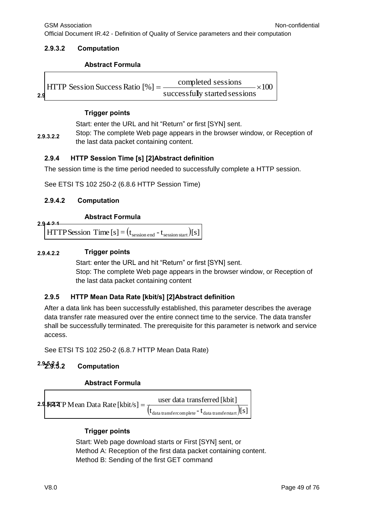## **2.9.3.2 Computation**

### **Abstract Formula**

|     | $HTTP$ Session Success Ratio $[%] =$ | completed sessions<br>$\times$ 100. |
|-----|--------------------------------------|-------------------------------------|
| 2.9 |                                      | successfully started sessions       |

## **Trigger points**

Start: enter the URL and hit "Return" or first [SYN] sent.

**2.9.3.2.2** Stop: The complete Web page appears in the browser window, or Reception of the last data packet containing content.

# **2.9.4 HTTP Session Time [s] [2]Abstract definition**

The session time is the time period needed to successfully complete a HTTP session.

See ETSI TS 102 250-2 (6.8.6 HTTP Session Time)

# **2.9.4.2 Computation**

**2.9.4.2.1**

# **Abstract Formula**

HTTP Session Time  $[s] = (t_{\text{session end}} - t_{\text{session start}})[s]$ 

### **2.9.4.2.2 Trigger points**

Start: enter the URL and hit "Return" or first [SYN] sent. Stop: The complete Web page appears in the browser window, or Reception of the last data packet containing content

# **2.9.5 HTTP Mean Data Rate [kbit/s] [2]Abstract definition**

After a data link has been successfully established, this parameter describes the average data transfer rate measured over the entire connect time to the service. The data transfer shall be successfully terminated. The prerequisite for this parameter is network and service access.

See ETSI TS 102 250-2 (6.8.7 HTTP Mean Data Rate)

#### **2.9.5.2 Computation 2.9.5.2.1**

# **Abstract Formula**



# **Trigger points**

Start: Web page download starts or First [SYN] sent, or Method A: Reception of the first data packet containing content. Method B: Sending of the first GET command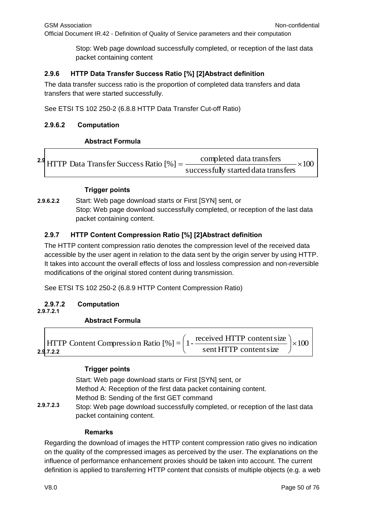Stop: Web page download successfully completed, or reception of the last data packet containing content

# **2.9.6 HTTP Data Transfer Success Ratio [%] [2]Abstract definition**

The data transfer success ratio is the proportion of completed data transfers and data transfers that were started successfully.

See ETSI TS 102 250-2 (6.8.8 HTTP Data Transfer Cut-off Ratio)

# **2.9.6.2 Computation**

# **Abstract Formula**

<sup>2.9</sup> HTTP Data Transfer Success Ratio  $[\%] = \frac{\text{completed data transfers}}{2.5} \times$ - $\times 100$ successfully started data transfers

### **Trigger points**

**2.9.6.2.2** Start: Web page download starts or First [SYN] sent, or Stop: Web page download successfully completed, or reception of the last data packet containing content.

# **2.9.7 HTTP Content Compression Ratio [%] [2]Abstract definition**

The HTTP content compression ratio denotes the compression level of the received data accessible by the user agent in relation to the data sent by the origin server by using HTTP. It takes into account the overall effects of loss and lossless compression and non-reversible modifications of the original stored content during transmission.

See ETSI TS 102 250-2 (6.8.9 HTTP Content Compression Ratio)

#### **2.9.7.2 Computation 2.9.7.2.1**

# **Abstract Formula**

| <b>HTTP</b> Content Compression Ratio $[\%] = \left(1 - \frac{\text{received HTTP content size}}{1 + \text{OPT}}\right) \times 100$ |  |                        |  |
|-------------------------------------------------------------------------------------------------------------------------------------|--|------------------------|--|
| 2.9.7.2.2                                                                                                                           |  | sent HTTP content size |  |

# **Trigger points**

Start: Web page download starts or First [SYN] sent, or Method A: Reception of the first data packet containing content. Method B: Sending of the first GET command Stop: Web page download successfully completed, or reception of the last data packet containing content. **2.9.7.2.3**

#### **Remarks**

Regarding the download of images the HTTP content compression ratio gives no indication on the quality of the compressed images as perceived by the user. The explanations on the influence of performance enhancement proxies should be taken into account. The current definition is applied to transferring HTTP content that consists of multiple objects (e.g. a web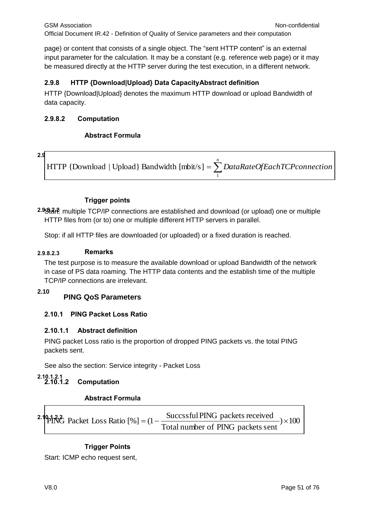page) or content that consists of a single object. The "sent HTTP content" is an external input parameter for the calculation. It may be a constant (e.g. reference web page) or it may be measured directly at the HTTP server during the test execution, in a different network.

# **2.9.8 HTTP {Download|Upload} Data CapacityAbstract definition**

HTTP {Download|Upload} denotes the maximum HTTP download or upload Bandwidth of data capacity.

# **2.9.8.2 Computation**

# **Abstract Formula**

#### **2.9.8.2.1**

 *n DataRateOfEachTCPconnection* 1 HTTP {Download | Upload} Bandwidth [mbit/s]

# **Trigger points**

**2.9.8.2.2** Start: multiple TCP/IP connections are established and download (or upload) one or multiple HTTP files from (or to) one or multiple different HTTP servers in parallel.

Stop: if all HTTP files are downloaded (or uploaded) or a fixed duration is reached.

# **2.9.8.2.3 Remarks**

The test purpose is to measure the available download or upload Bandwidth of the network in case of PS data roaming. The HTTP data contents and the establish time of the multiple TCP/IP connections are irrelevant.

#### **2.10**

# **PING QoS Parameters**

# **2.10.1 PING Packet Loss Ratio**

# **2.10.1.1 Abstract definition**

PING packet Loss ratio is the proportion of dropped PING packets vs. the total PING packets sent.

See also the section: Service integrity - Packet Loss

#### **2.10.1.2 Computation 2.10.1.2.1**

# **Abstract Formula**

2.194%<sup>2</sup> packet Loss Ratio [%] = 
$$
(1 - \frac{SuccessfulPING packets received}{Total number of PING packets sent}) \times 100
$$

# **Trigger Points**

Start: ICMP echo request sent,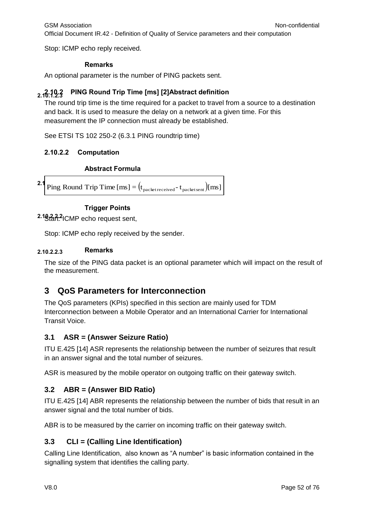Stop: ICMP echo reply received.

# **Remarks**

An optional parameter is the number of PING packets sent.

#### **2.10.1.2.3 2.10.2 PING Round Trip Time [ms] [2]Abstract definition**

The round trip time is the time required for a packet to travel from a source to a destination and back. It is used to measure the delay on a network at a given time. For this measurement the IP connection must already be established.

See ETSI TS 102 250-2 (6.3.1 PING roundtrip time)

# **2.10.2.2 Computation**

# **Abstract Formula**

**2.1** Ping Round Trip Time  $[ms] = (t_{packet received} - t_{packet sent})[ms]$ 

# **Trigger Points**

**2.10.2.2.2** Start: ICMP echo request sent,

Stop: ICMP echo reply received by the sender.

# **2.10.2.2.3 Remarks**

The size of the PING data packet is an optional parameter which will impact on the result of the measurement.

# **3 QoS Parameters for Interconnection**

The QoS parameters (KPIs) specified in this section are mainly used for TDM Interconnection between a Mobile Operator and an International Carrier for International Transit Voice.

# **3.1 ASR = (Answer Seizure Ratio)**

ITU E.425 [14] ASR represents the relationship between the number of seizures that result in an answer signal and the total number of seizures.

ASR is measured by the mobile operator on outgoing traffic on their gateway switch.

# **3.2 ABR = (Answer BID Ratio)**

ITU E.425 [14] ABR represents the relationship between the number of bids that result in an answer signal and the total number of bids.

ABR is to be measured by the carrier on incoming traffic on their gateway switch.

# **3.3 CLI = (Calling Line Identification)**

Calling Line Identification, also known as "A number" is basic information contained in the signalling system that identifies the calling party.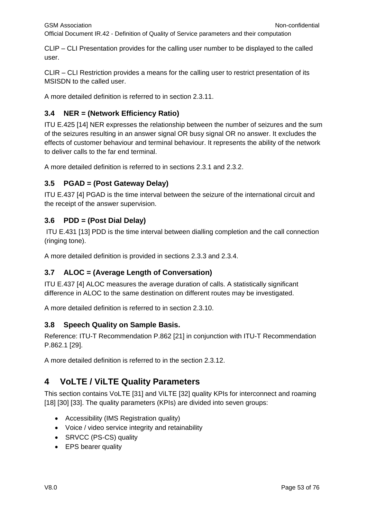CLIP – CLI Presentation provides for the calling user number to be displayed to the called user.

CLIR – CLI Restriction provides a means for the calling user to restrict presentation of its MSISDN to the called user.

A more detailed definition is referred to in section 2.3.11.

# **3.4 NER = (Network Efficiency Ratio)**

ITU E.425 [14] NER expresses the relationship between the number of seizures and the sum of the seizures resulting in an answer signal OR busy signal OR no answer. It excludes the effects of customer behaviour and terminal behaviour. It represents the ability of the network to deliver calls to the far end terminal.

A more detailed definition is referred to in sections 2.3.1 and 2.3.2.

# **3.5 PGAD = (Post Gateway Delay)**

ITU E.437 [4] PGAD is the time interval between the seizure of the international circuit and the receipt of the answer supervision.

# **3.6 PDD = (Post Dial Delay)**

ITU E.431 [13] PDD is the time interval between dialling completion and the call connection (ringing tone).

A more detailed definition is provided in sections 2.3.3 and 2.3.4.

# **3.7 ALOC = (Average Length of Conversation)**

ITU E.437 [4] ALOC measures the average duration of calls. A statistically significant difference in ALOC to the same destination on different routes may be investigated.

A more detailed definition is referred to in section 2.3.10.

# **3.8 Speech Quality on Sample Basis.**

Reference: ITU-T Recommendation P.862 [21] in conjunction with ITU-T Recommendation P.862.1 [29].

A more detailed definition is referred to in the section 2.3.12.

# **4 VoLTE / ViLTE Quality Parameters**

This section contains VoLTE [31] and ViLTE [32] quality KPIs for interconnect and roaming [18] [30] [33]. The quality parameters (KPIs) are divided into seven groups:

- Accessibility (IMS Registration quality)
- Voice / video service integrity and retainability
- SRVCC (PS-CS) quality
- EPS bearer quality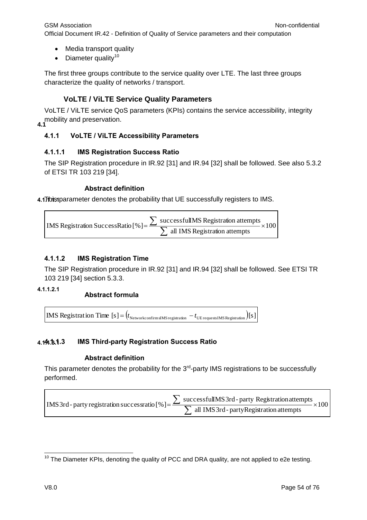- Media transport quality
- $\bullet$  Diameter quality<sup>10</sup>

The first three groups contribute to the service quality over LTE. The last three groups characterize the quality of networks / transport.

# **VoLTE / ViLTE Service Quality Parameters**

**4.1** mobility and preservation. VoLTE / ViLTE service QoS parameters (KPIs) contains the service accessibility, integrity

# **4.1.1 VoLTE / ViLTE Accessibility Parameters**

# **4.1.1.1 IMS Registration Success Ratio**

The SIP Registration procedure in IR.92 [31] and IR.94 [32] shall be followed. See also 5.3.2 of ETSI TR 103 219 [34].

# **Abstract definition**

4.1This parameter denotes the probability that UE successfully registers to IMS.

100 all IMS Registration attempts successfulIMS Registration attempts IMS Registration SuccessRatio [%] =  $\frac{\sum \text{successram is regulation at terms}}{\sum \text{ all IMS Region at terms}} \times$  $\sum$ 

# **4.1.1.2 IMS Registration Time**

The SIP Registration procedure in IR.92 [31] and IR.94 [32] shall be followed. See ETSI TR 103 219 [34] section 5.3.3.

**4.1.1.2.1**

# **Abstract formula**

IMS Registration Time  $[s] = (t_{\text{Networkconfirm sIMS registration}} - t_{\text{UE requestsIMS Regression}})$ 

#### **4.1.1.3 IMS Third-party Registration Success Ratio 4.1.1.3.1**

# **Abstract definition**

This parameter denotes the probability for the  $3<sup>rd</sup>$ -party IMS registrations to be successfully performed.

 $\times 100$ all IMS3rd- partyRegistration attempts successfulIMS3rd-party Registrationattempts IMS 3rd - party registration successratio  $[\%]=\frac{\sqrt{3}}{\sqrt{3}}$  all IMS 3rd - party Registration attempts  $\times$  $\sum$ 

 $\overline{1}$  $10$  The Diameter KPIs, denoting the quality of PCC and DRA quality, are not applied to e2e testing.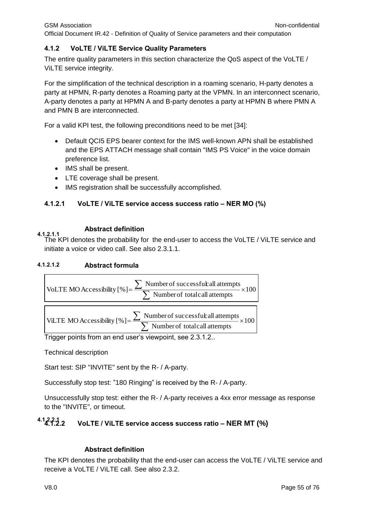#### **4.1.2 VoLTE / ViLTE Service Quality Parameters**

The entire quality parameters in this section characterize the QoS aspect of the VoLTE / ViLTE service integrity.

For the simplification of the technical description in a roaming scenario, H-party denotes a party at HPMN, R-party denotes a Roaming party at the VPMN. In an interconnect scenario, A-party denotes a party at HPMN A and B-party denotes a party at HPMN B where PMN A and PMN B are interconnected.

For a valid KPI test, the following preconditions need to be met [34]:

- Default QCI5 EPS bearer context for the IMS well-known APN shall be established and the EPS ATTACH message shall contain "IMS PS Voice" in the voice domain preference list.
- IMS shall be present.
- LTE coverage shall be present.
- IMS registration shall be successfully accomplished.

### **4.1.2.1 VoLTE / ViLTE service access success ratio – NER MO (%)**

#### **Abstract definition 4.1.2.1.1**

The KPI denotes the probability for the end-user to access the VoLTE / ViLTE service and initiate a voice or video call. See also 2.3.1.1.

#### **4.1.2.1.2 Abstract formula**



Trigger points from an end user's viewpoint, see 2.3.1.2..

Technical description

Start test: SIP "INVITE" sent by the R- / A-party.

Successfully stop test: "180 Ringing" is received by the R- / A-party.

Unsuccessfully stop test: either the R- / A-party receives a 4xx error message as response to the "INVITE", or timeout.

#### **4.1.2.2 VoLTE / ViLTE service access success ratio – NER MT (%) 4.1.2.2.1**

#### **Abstract definition**

The KPI denotes the probability that the end-user can access the VoLTE / ViLTE service and receive a VoLTE / ViLTE call. See also 2.3.2.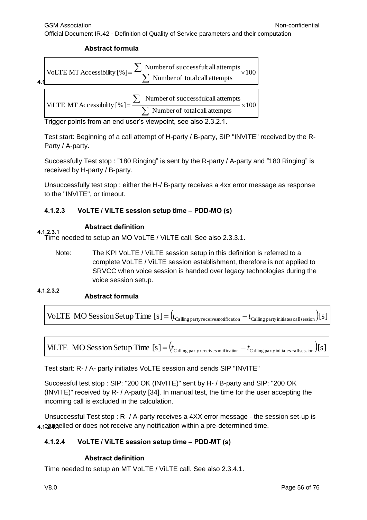**Abstract formula**



Trigger points from an end user's viewpoint, see also 2.3.2.1.

Test start: Beginning of a call attempt of H-party / B-party, SIP "INVITE" received by the R-Party / A-party.

Successfully Test stop : "180 Ringing" is sent by the R-party / A-party and "180 Ringing" is received by H-party / B-party.

Unsuccessfully test stop : either the H-/ B-party receives a 4xx error message as response to the "INVITE", or timeout.

# **4.1.2.3 VoLTE / ViLTE session setup time – PDD-MO (s)**

### **Abstract definition**

**4.1.2.3.1** Time needed to setup an MO VoLTE / ViLTE call. See also 2.3.3.1.

Note: The KPI VoLTE / ViLTE session setup in this definition is referred to a complete VoLTE / ViLTE session establishment, therefore is not applied to SRVCC when voice session is handed over legacy technologies during the voice session setup.

**4.1.2.3.2**

# **Abstract formula**

 $V$ oLTE  $MO$  Session Setup Time  $[s] = (t_{\text{Calling party receivesnotification}} - t_{\text{Calling party initiates callsession}})$ 



Test start: R- / A- party initiates VoLTE session and sends SIP "INVITE"

Successful test stop : SIP: "200 OK (INVITE)" sent by H- / B-party and SIP: "200 OK (INVITE)" received by R- / A-party [34]. In manual test, the time for the user accepting the incoming call is excluded in the calculation.

Unsuccessful Test stop : R- / A-party receives a 4XX error message - the session set-up is 4.1220, a pre-determined tries and the ceive any notification within a pre-determined time.

# **4.1.2.4 VoLTE / ViLTE session setup time – PDD-MT (s)**

# **Abstract definition**

Time needed to setup an MT VoLTE / ViLTE call. See also 2.3.4.1.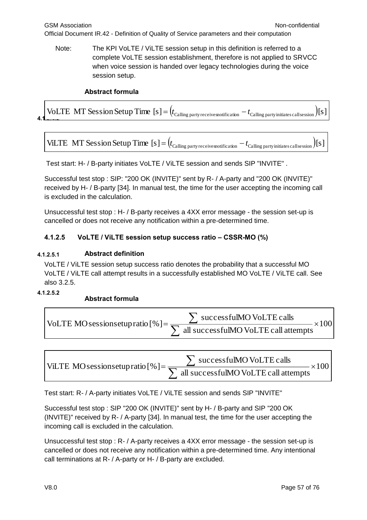Note: The KPI VoLTE / ViLTE session setup in this definition is referred to a complete VoLTE session establishment, therefore is not applied to SRVCC when voice session is handed over legacy technologies during the voice session setup.

# **Abstract formula**

**4.1.**<br>**4.1. 1.1. 1.1. 1.1. 1.1. 1.1. 1.1. 1.1. 1.1. 1.1. 1.1. 1.1. 1.1. 1.1. 1.1. 1.1. 1.1. 1.1. 1.1. 1.1. 1.1. 1.1. 1.1. 1.1. 1.1. 1.1. 1.1. 1.1. 1.1. 1.1. 1.1** 

ViLTE MT Session Setup Time  $[s] = (t_{\text{Calling party receivesnotification}} - t_{\text{Calling party initiates call session}})[s]$ 

Test start: H- / B-party initiates VoLTE / ViLTE session and sends SIP "INVITE" .

Successful test stop : SIP: "200 OK (INVITE)" sent by R- / A-party and "200 OK (INVITE)" received by H- / B-party [34]. In manual test, the time for the user accepting the incoming call is excluded in the calculation.

Unsuccessful test stop : H- / B-party receives a 4XX error message - the session set-up is cancelled or does not receive any notification within a pre-determined time.

# **4.1.2.5 VoLTE / ViLTE session setup success ratio – CSSR-MO (%)**

### **4.1.2.5.1 Abstract definition**

VoLTE / ViLTE session setup success ratio denotes the probability that a successful MO VoLTE / ViLTE call attempt results in a successfully established MO VoLTE / ViLTE call. See also 3.2.5.

**4.1.2.5.2**

# **Abstract formula**

| $\frac{1}{2}$ successful<br>MOVoLTE calls                                                        |
|--------------------------------------------------------------------------------------------------|
| . oLTE MOsessionsetup ratio [%] = $\frac{2}{\sum_{\text{all successfulMO VolITE call attempts}}$ |

VILTE MO sessionsetupratio [% ]=
$$
\frac{\sum \text{successfulMO VolITE calls}}{\sum \text{all successfulMO VolITE call attempts}} \times 100
$$

Test start: R- / A-party initiates VoLTE / ViLTE session and sends SIP "INVITE"

Successful test stop : SIP "200 OK (INVITE)" sent by H- / B-party and SIP "200 OK (INVITE)" received by R- / A-party [34]. In manual test, the time for the user accepting the incoming call is excluded in the calculation.

Unsuccessful test stop : R- / A-party receives a 4XX error message - the session set-up is cancelled or does not receive any notification within a pre-determined time. Any intentional call terminations at R- / A-party or H- / B-party are excluded.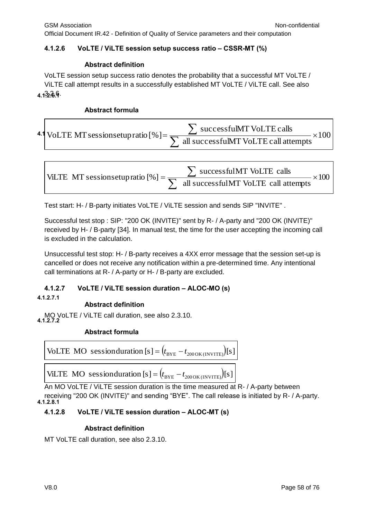#### **4.1.2.6 VoLTE / ViLTE session setup success ratio – CSSR-MT (%)**

#### **Abstract definition**

**4.1.2.6.1** 3.2.6. VoLTE session setup success ratio denotes the probability that a successful MT VoLTE / ViLTE call attempt results in a successfully established MT VoLTE / ViLTE call. See also

#### **Abstract formula**

|  | 4.1 VoLTE MT sessions et up ratio [%] = $\frac{1}{\sqrt{2}}$ | successfulMT VoLTE calls             |  |
|--|--------------------------------------------------------------|--------------------------------------|--|
|  |                                                              | all successfulMT VoLTE call attempts |  |

VILTE MT sessionsetupratio [%] = 
$$
\frac{\sum \text{successfulMT VolITE calls}}{\sum \text{ all successfulMT VolITE call attempts}} \times 100
$$

Test start: H- / B-party initiates VoLTE / ViLTE session and sends SIP "INVITE" .

Successful test stop : SIP: "200 OK (INVITE)" sent by R- / A-party and "200 OK (INVITE)" received by H- / B-party [34]. In manual test, the time for the user accepting the incoming call is excluded in the calculation.

Unsuccessful test stop: H- / B-party receives a 4XX error message that the session set-up is cancelled or does not receive any notification within a pre-determined time. Any intentional call terminations at R- / A-party or H- / B-party are excluded.

#### **4.1.2.7 VoLTE / ViLTE session duration – ALOC-MO (s)**

**4.1.2.7.1**

#### **Abstract definition**

MO VoLTE / ViLTE call duration, see also 2.3.10. **4.1.2.7.2**

#### **Abstract formula**

VoLTE MO session duration [s] = 
$$
(t_{BYE} - t_{2000K(INVITE)})
$$
 [s]

ViLTE MO sessionduration  $[s] = (t_{BYE} - t_{2000K (INVITE)}) [s]$ 

An MO VoLTE / ViLTE session duration is the time measured at R- / A-party between receiving "200 OK (INVITE)" and sending "BYE". The call release is initiated by R- / A-party. **4.1.2.8.1**

#### **4.1.2.8 VoLTE / ViLTE session duration – ALOC-MT (s)**

#### **Abstract definition**

MT VoLTE call duration, see also 2.3.10.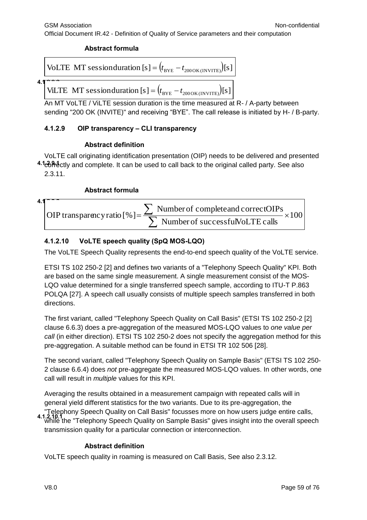### **Abstract formula**

VoLTE MT session duration [s] = 
$$
(t_{BYE} - t_{200OK(INVITE)})
$$
 [s]

#### **4.1.2.2.2.**

ViLTE MT sessionduration  $[s] = (t_{BYE} - t_{200 \text{OK (INVITE)}}) [s]$ 

An MT VoLTE / ViLTE session duration is the time measured at R- / A-party between sending "200 OK (INVITE)" and receiving "BYE". The call release is initiated by H- / B-party.

# **4.1.2.9 OIP transparency – CLI transparency**

### **Abstract definition**

4.1corectly and complete. It can be used to call back to the original called party. See also VoLTE call originating identification presentation (OIP) needs to be delivered and presented 2.3.11.

### **Abstract formula**

<sup>4.1</sup> OIP transparency ratio [% ] = 
$$
\frac{\sum \text{ Number of completed and correct OIPs}}{\sum \text{ Number of successful Vol. TE calls}} \times 100
$$

# **4.1.2.10 VoLTE speech quality (SpQ MOS-LQO)**

The VoLTE Speech Quality represents the end-to-end speech quality of the VoLTE service.

ETSI TS 102 250-2 [2] and defines two variants of a "Telephony Speech Quality" KPI. Both are based on the same single measurement. A single measurement consist of the MOS-LQO value determined for a single transferred speech sample, according to ITU-T P.863 POLQA [27]. A speech call usually consists of multiple speech samples transferred in both directions.

The first variant, called "Telephony Speech Quality on Call Basis" (ETSI TS 102 250-2 [2] clause 6.6.3) does a pre-aggregation of the measured MOS-LQO values to *one value per call* (in either direction). ETSI TS 102 250-2 does not specify the aggregation method for this pre-aggregation. A suitable method can be found in ETSI TR 102 506 [28].

The second variant, called "Telephony Speech Quality on Sample Basis" (ETSI TS 102 250- 2 clause 6.6.4) does *not* pre-aggregate the measured MOS-LQO values. In other words, one call will result in *multiple* values for this KPI.

Averaging the results obtained in a measurement campaign with repeated calls will in general yield different statistics for the two variants. Due to its pre-aggregation, the "Telephony Speech Quality on Call Basis" focusses more on how users judge entire calls, while the "Telephony Speech Quality on Sample Basis" gives insight into the overall speech **4.1.2.10.1** transmission quality for a particular connection or interconnection.

#### **Abstract definition**

VoLTE speech quality in roaming is measured on Call Basis, See also 2.3.12.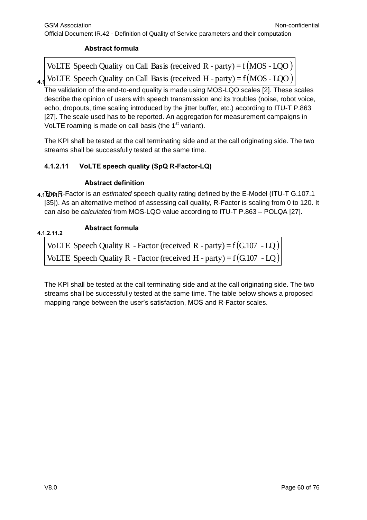# **Abstract formula**

**4.1** VoLTE Speech Quality on Call Basis (received H - party) =  $f(MOS - LQO)$ VoLTE Speech Quality on Call Basis (received  $R$  - party) =  $f(MOS - LQO)$ 

The validation of the end-to-end quality is made using MOS-LQO scales [2]. These scales describe the opinion of users with speech transmission and its troubles (noise, robot voice, echo, dropouts, time scaling introduced by the jitter buffer, etc.) according to ITU-T P.863 [27]. The scale used has to be reported. An aggregation for measurement campaigns in VoLTE roaming is made on call basis (the  $1<sup>st</sup>$  variant).

The KPI shall be tested at the call terminating side and at the call originating side. The two streams shall be successfully tested at the same time.

# **4.1.2.11 VoLTE speech quality (SpQ R-Factor-LQ)**

#### **Abstract definition**

**4.1.2.11.1** The R-Factor is an *estimated* speech quality rating defined by the E-Model (ITU-T G.107.1 [35]). As an alternative method of assessing call quality, R-Factor is scaling from 0 to 120. It can also be *calculated* from MOS-LQO value according to ITU-T P.863 – POLQA [27].

| 4.1.2.11.2 | <b>Abstract formula</b>                                                |  |
|------------|------------------------------------------------------------------------|--|
|            | VoLTE Speech Quality R - Factor (received R - party) = $f(G.107 - LQ)$ |  |
|            | VoLTE Speech Quality R - Factor (received H - party) = $f(G.107 - LQ)$ |  |

The KPI shall be tested at the call terminating side and at the call originating side. The two streams shall be successfully tested at the same time. The table below shows a proposed mapping range between the user's satisfaction, MOS and R-Factor scales.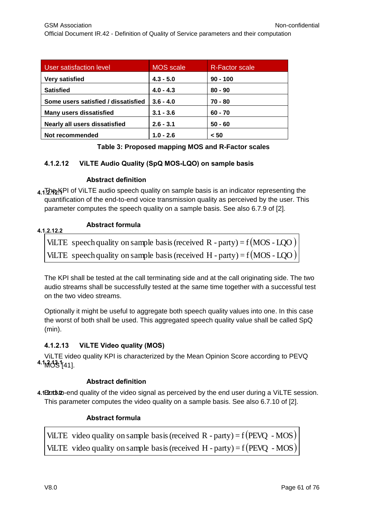| User satisfaction level             | <b>MOS</b> scale | <b>R-Factor scale</b> |
|-------------------------------------|------------------|-----------------------|
| <b>Very satisfied</b>               | $4.3 - 5.0$      | $90 - 100$            |
| <b>Satisfied</b>                    | $4.0 - 4.3$      | $80 - 90$             |
| Some users satisfied / dissatisfied | $3.6 - 4.0$      | $70 - 80$             |
| <b>Many users dissatisfied</b>      | $3.1 - 3.6$      | $60 - 70$             |
| Nearly all users dissatisfied       | $2.6 - 3.1$      | $50 - 60$             |
| Not recommended                     | $1.0 - 2.6$      | < 50                  |

# **Table 3: Proposed mapping MOS and R-Factor scales**

# **4.1.2.12 ViLTE Audio Quality (SpQ MOS-LQO) on sample basis**

# **Abstract definition**

**4.1.2.12.1** The KPI of ViLTE audio speech quality on sample basis is an indicator representing the quantification of the end-to-end voice transmission quality as perceived by the user. This parameter computes the speech quality on a sample basis. See also 6.7.9 of [2].

#### **Abstract formula 4.1.2.12.2**

ViLTE speech quality on sample basis (received R - party) =  $f(MOS - LQO)$ ViLTE speech quality on sample basis (received H - party) =  $f(MOS - LOO)$ 

The KPI shall be tested at the call terminating side and at the call originating side. The two audio streams shall be successfully tested at the same time together with a successful test on the two video streams.

Optionally it might be useful to aggregate both speech quality values into one. In this case the worst of both shall be used. This aggregated speech quality value shall be called SpQ (min).

# **4.1.2.13 ViLTE Video quality (MOS)**

ViLTE video quality KPI is characterized by the Mean Opinion Score according to PEVQ **<sup>4.1</sup>MOS1**[41].

# **Abstract definition**

4.1<sup>Endb</sup>: to-end quality of the video signal as perceived by the end user during a ViLTE session. This parameter computes the video quality on a sample basis. See also 6.7.10 of [2].

# **Abstract formula**

ViLTE video quality on sample basis (received R - party) =  $f(PEVQ - MOS)$ ViLTE video quality on sample basis (received H - party) =  $f(PEVQ - MOS)$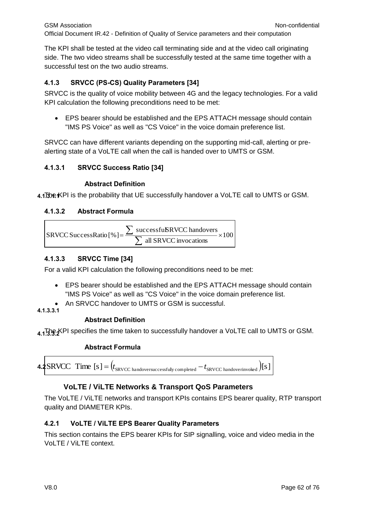The KPI shall be tested at the video call terminating side and at the video call originating side. The two video streams shall be successfully tested at the same time together with a successful test on the two audio streams.

# **4.1.3 SRVCC (PS-CS) Quality Parameters [34]**

SRVCC is the quality of voice mobility between 4G and the legacy technologies. For a valid KPI calculation the following preconditions need to be met:

 EPS bearer should be established and the EPS ATTACH message should contain "IMS PS Voice" as well as "CS Voice" in the voice domain preference list.

SRVCC can have different variants depending on the supporting mid-call, alerting or prealerting state of a VoLTE call when the call is handed over to UMTS or GSM.

# **4.1.3.1 SRVCC Success Ratio [34]**

# **Abstract Definition**

**4.1.3.1.1** The KPI is the probability that UE successfully handover a VoLTE call to UMTS or GSM.

# **4.1.3.2 Abstract Formula**

| successfußRVCC handovers<br>$S\text{RVCC}$ Success Ratio $\lceil \% \rceil =$ |  |
|-------------------------------------------------------------------------------|--|
| all SRVCC invocations                                                         |  |

# **4.1.3.3 SRVCC Time [34]**

For a valid KPI calculation the following preconditions need to be met:

- EPS bearer should be established and the EPS ATTACH message should contain "IMS PS Voice" as well as "CS Voice" in the voice domain preference list.
- An SRVCC handover to UMTS or GSM is successful.

# **4.1.3.3.1**

# **Abstract Definition**

**4.1.3.9.4** PI specifies the time taken to successfully handover a VoLTE call to UMTS or GSM.

# **Abstract Formula**



# **VoLTE / ViLTE Networks & Transport QoS Parameters**

The VoLTE / ViLTE networks and transport KPIs contains EPS bearer quality, RTP transport quality and DIAMETER KPIs.

# **4.2.1 VoLTE / ViLTE EPS Bearer Quality Parameters**

This section contains the EPS bearer KPIs for SIP signalling, voice and video media in the VoLTE / ViLTE context.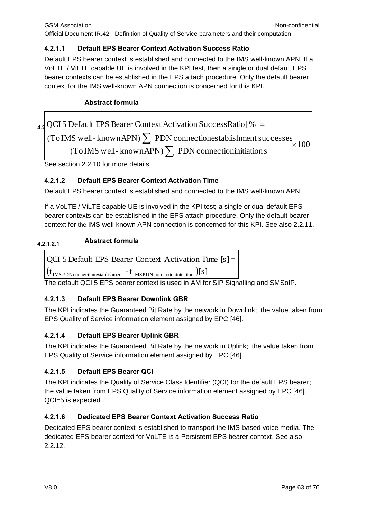# **4.2.1.1 Default EPS Bearer Context Activation Success Ratio**

Default EPS bearer context is established and connected to the IMS well-known APN. If a VoLTE / ViLTE capable UE is involved in the KPI test, then a single or dual default EPS bearer contexts can be established in the EPS attach procedure. Only the default bearer context for the IMS well-known APN connection is concerned for this KPI.

# **Abstract formula**

**4.2**  $\vee$  $\times 100$ (To IMS well-knownAPN)  $\sum$  PDN connectionestablishment successes Abstract formula<br>QCI 5 Default EPS Bearer Context Activation Success Ratio [%]  $=$ 

(To IMS well-known APN)  $\sum$  PDN connection initiation s

See section 2.2.10 for more details.

# **4.2.1.2 Default EPS Bearer Context Activation Time**

Default EPS bearer context is established and connected to the IMS well-known APN.

If a VoLTE / ViLTE capable UE is involved in the KPI test; a single or dual default EPS bearer contexts can be established in the EPS attach procedure. Only the default bearer context for the IMS well-known APN connection is concerned for this KPI. See also 2.2.11.

# **Abstract formula 4.2.1.2.1**

$$
[QCI 5 Default EPS Bearer Context Activation Time [s] =
$$

 $({\rm t_{\rm IMSPDNo}_{connectionestablishment}}$  -  ${\rm t_{\rm IMSPDNo}_{connectioninitialion}})$  [S ]

The default QCI 5 EPS bearer context is used in AM for SIP Signalling and SMSoIP.

# **4.2.1.3 Default EPS Bearer Downlink GBR**

The KPI indicates the Guaranteed Bit Rate by the network in Downlink; the value taken from EPS Quality of Service information element assigned by EPC [46].

# **4.2.1.4 Default EPS Bearer Uplink GBR**

The KPI indicates the Guaranteed Bit Rate by the network in Uplink; the value taken from EPS Quality of Service information element assigned by EPC [46].

# **4.2.1.5 Default EPS Bearer QCI**

The KPI indicates the Quality of Service Class Identifier (QCI) for the default EPS bearer; the value taken from EPS Quality of Service information element assigned by EPC [46]. QCI=5 is expected.

# **4.2.1.6 Dedicated EPS Bearer Context Activation Success Ratio**

Dedicated EPS bearer context is established to transport the IMS-based voice media. The dedicated EPS bearer context for VoLTE is a Persistent EPS bearer context. See also 2.2.12.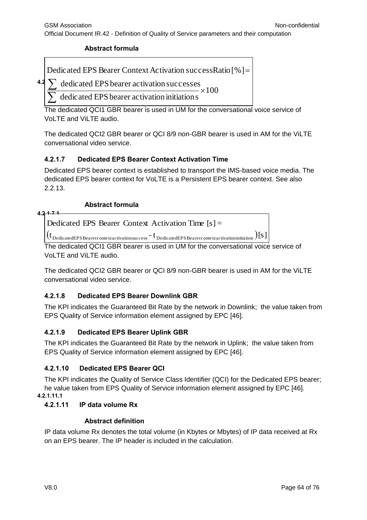### **Abstract formula**

Dedicated EPS Bearer Context Activation successRatio [%] =

**4.2.1.6.1**  $\times 100$ dedicated EPS bearer activation successes  $\sum$ 

dedicated EPS bearer activation initiations  $\sum$ 

The dedicated QCI1 GBR bearer is used in UM for the conversational voice service of VoLTE and ViLTE audio.

The dedicated QCI2 GBR bearer or QCI 8/9 non-GBR bearer is used in AM for the ViLTE conversational video service.

# **4.2.1.7 Dedicated EPS Bearer Context Activation Time**

Dedicated EPS bearer context is established to transport the IMS-based voice media. The dedicated EPS bearer context for VoLTE is a Persistent EPS bearer context. See also 2.2.13.

# **Abstract formula**

Dedicated EPS Bearer Context Activation Time [s] <sup>=</sup>

 $({\rm t}_{\rm DedEPS{\, Bearer}}$ contextactivationsuccess  $^{\rm -}$   ${\rm t}_{\rm DedicatedEPS{\, Bearer}}$ contextactivation initiation  $)$  [S ]

The dedicated QCI1 GBR bearer is used in UM for the conversational voice service of VoLTE and ViLTE audio.

The dedicated QCI2 GBR bearer or QCI 8/9 non-GBR bearer is used in AM for the ViLTE conversational video service.

# **4.2.1.8 Dedicated EPS Bearer Downlink GBR**

The KPI indicates the Guaranteed Bit Rate by the network in Downlink; the value taken from EPS Quality of Service information element assigned by EPC [46].

# **4.2.1.9 Dedicated EPS Bearer Uplink GBR**

The KPI indicates the Guaranteed Bit Rate by the network in Uplink; the value taken from EPS Quality of Service information element assigned by EPC [46].

# **4.2.1.10 Dedicated EPS Bearer QCI**

The KPI indicates the Quality of Service Class Identifier (QCI) for the Dedicated EPS bearer; he value taken from EPS Quality of Service information element assigned by EPC [46]. **4.2.1.11.1**

#### **4.2.1.11 IP data volume Rx**

#### **Abstract definition**

IP data volume Rx denotes the total volume (in Kbytes or Mbytes) of IP data received at Rx on an EPS bearer. The IP header is included in the calculation.

**4.2.1.7.1**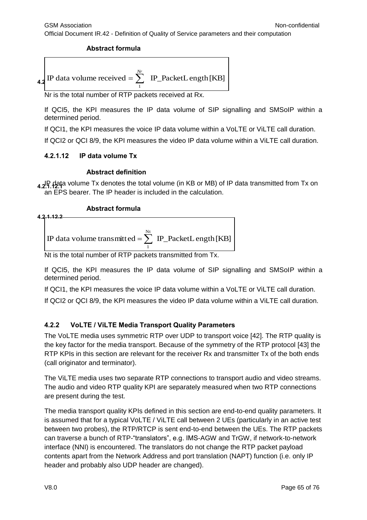#### **Abstract formula**

4.2 IP data volume received = 
$$
\sum_{1}^{Nr}
$$
 IP\_PacketLength [KB]

Nr is the total number of RTP packets received at Rx.

If QCI5, the KPI measures the IP data volume of SIP signalling and SMSoIP within a determined period.

If QCI1, the KPI measures the voice IP data volume within a VoLTE or ViLTE call duration.

If QCI2 or QCI 8/9, the KPI measures the video IP data volume within a ViLTE call duration.

### **4.2.1.12 IP data volume Tx**

#### **Abstract definition**

**4.2.1.12.1** IP data volume Tx denotes the total volume (in KB or MB) of IP data transmitted from Tx on an EPS bearer. The IP header is included in the calculation.

### **Abstract formula**



If QCI5, the KPI measures the IP data volume of SIP signalling and SMSoIP within a determined period.

If QCI1, the KPI measures the voice IP data volume within a VoLTE or ViLTE call duration.

If QCI2 or QCI 8/9, the KPI measures the video IP data volume within a ViLTE call duration.

# **4.2.2 VoLTE / ViLTE Media Transport Quality Parameters**

The VoLTE media uses symmetric RTP over UDP to transport voice [42]. The RTP quality is the key factor for the media transport. Because of the symmetry of the RTP protocol [43] the RTP KPIs in this section are relevant for the receiver Rx and transmitter Tx of the both ends (call originator and terminator).

The ViLTE media uses two separate RTP connections to transport audio and video streams. The audio and video RTP quality KPI are separately measured when two RTP connections are present during the test.

The media transport quality KPIs defined in this section are end-to-end quality parameters. It is assumed that for a typical VoLTE / ViLTE call between 2 UEs (particularly in an active test between two probes), the RTP/RTCP is sent end-to-end between the UEs. The RTP packets can traverse a bunch of RTP-"translators", e.g. IMS-AGW and TrGW, if network-to-network interface (NNI) is encountered. The translators do not change the RTP packet payload contents apart from the Network Address and port translation (NAPT) function (i.e. only IP header and probably also UDP header are changed).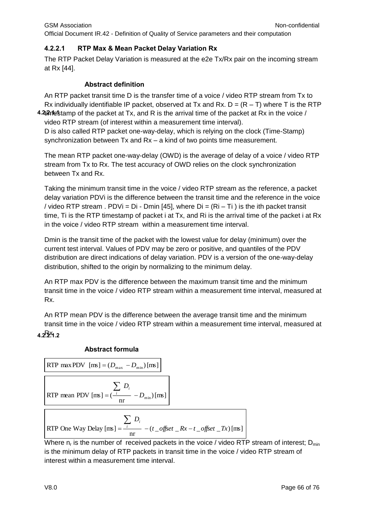# **4.2.2.1 RTP Max & Mean Packet Delay Variation Rx**

The RTP Packet Delay Variation is measured at the e2e Tx/Rx pair on the incoming stream at Rx [44].

# **Abstract definition**

**4.4** *h* estamp of the packet at Tx, and R is the arrival time of the packet at Rx in the voice / An RTP packet transit time D is the transfer time of a voice / video RTP stream from Tx to Rx individually identifiable IP packet, observed at Tx and Rx.  $D = (R - T)$  where T is the RTP video RTP stream (of interest within a measurement time interval).

D is also called RTP packet one-way-delay, which is relying on the clock (Time-Stamp) synchronization between Tx and Rx – a kind of two points time measurement.

The mean RTP packet one-way-delay (OWD) is the average of delay of a voice / video RTP stream from Tx to Rx. The test accuracy of OWD relies on the clock synchronization between Tx and Rx.

Taking the minimum transit time in the voice / video RTP stream as the reference, a packet delay variation PDVi is the difference between the transit time and the reference in the voice / video RTP stream . PDVi = Di - Dmin [45], where  $Di = (Ri - Ti)$  is the ith packet transit time, Ti is the RTP timestamp of packet i at Tx, and Ri is the arrival time of the packet i at Rx in the voice / video RTP stream within a measurement time interval.

Dmin is the transit time of the packet with the lowest value for delay (minimum) over the current test interval. Values of PDV may be zero or positive, and quantiles of the PDV distribution are direct indications of delay variation. PDV is a version of the one-way-delay distribution, shifted to the origin by normalizing to the minimum delay.

An RTP max PDV is the difference between the maximum transit time and the minimum transit time in the voice / video RTP stream within a measurement time interval, measured at Rx.

An RTP mean PDV is the difference between the average transit time and the minimum transit time in the voice / video RTP stream within a measurement time interval, measured at Rx. **4.2.2.1.2**

# **Abstract formula**

RTP max PDV [ms] = 
$$
(D_{\text{max}} - D_{\text{min}})[\text{ms}]
$$

\nRTP mean PDV [ms] =  $(\frac{L}{n} - D_{\text{min}})[\text{ms}]$ 

\nRTP One Way Delay [ms] =  $\frac{\sum_{i} D_{i}}{\text{nr}} - (t_{\text{off}}\text{set} - Rx - t_{\text{off}}\text{set} - Tx)[\text{ms}]$ 

Where  $n_r$  is the number of received packets in the voice / video RTP stream of interest;  $D_{min}$ is the minimum delay of RTP packets in transit time in the voice / video RTP stream of interest within a measurement time interval.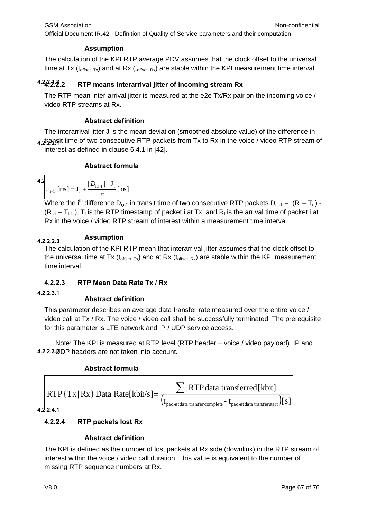# **Assumption**

The calculation of the KPI RTP average PDV assumes that the clock offset to the universal time at Tx ( $t_{offset\,Tx}$ ) and at Rx ( $t_{offset\,Rx}$ ) are stable within the KPI measurement time interval.

#### **4.2.2.1.3 4.2.2.2 RTP means interarrival jitter of incoming stream Rx**

The RTP mean inter-arrival jitter is measured at the e2e Tx/Rx pair on the incoming voice / video RTP streams at Rx.

# **Abstract definition**

4.**2.2.2.** At time of two consecutive RTP packets from Tx to Rx in the voice / video RTP stream of The interarrival jitter J is the mean deviation (smoothed absolute value) of the difference in interest as defined in clause 6.4.1 in [42].

# **Abstract formula**

**4.2**  

$$
J_{i+1} [ms] = J_i + \frac{|D_{i,i-1}| - J_i}{16} [ms]
$$

Where the i<sup>th</sup> difference D<sub>i,i-1</sub> in transit time of two consecutive RTP packets D<sub>i,i-1</sub> = (R<sub>i</sub> – T<sub>i</sub>) - $(R_{i-1}-T_{i-1})$ , T<sub>i</sub> is the RTP timestamp of packet i at Tx, and R<sub>i</sub> is the arrival time of packet i at Rx in the voice / video RTP stream of interest within a measurement time interval.

# **Assumption 4.2.2.2.3**

The calculation of the KPI RTP mean that interarrival jitter assumes that the clock offset to the universal time at Tx ( $t_{offset_Tx}$ ) and at Rx ( $t_{offset_Tx}$ ) are stable within the KPI measurement time interval.

# **4.2.2.3 RTP Mean Data Rate Tx / Rx**

#### **4.2.2.3.1**

# **Abstract definition**

This parameter describes an average data transfer rate measured over the entire voice / video call at Tx / Rx. The voice / video call shall be successfully terminated. The prerequisite for this parameter is LTE network and IP / UDP service access.

Note: The KPI is measured at RTP level (RTP header + voice / video payload). IP and 4.2.2.3.<sup>2</sup>DP headers are not taken into account.

# **Abstract formula**



# **4.2.2.4 RTP packets lost Rx**

# **Abstract definition**

The KPI is defined as the number of lost packets at Rx side (downlink) in the RTP stream of interest within the voice / video call duration. This value is equivalent to the number of missing RTP sequence numbers at Rx.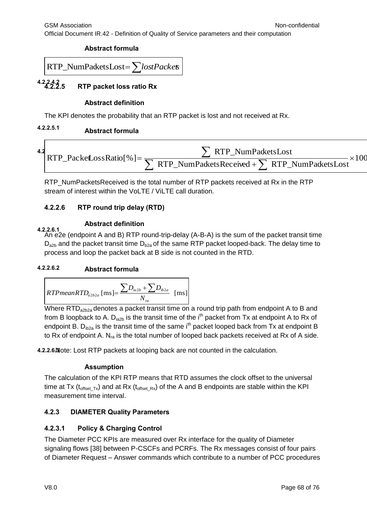#### **Abstract formula**

$$
RTP\_NumPacketsLoss = \sum lostPackets
$$

**4.2.2.4.2 4.2.2.5 RTP packet loss ratio Rx**

# **Abstract definition**

The KPI denotes the probability that an RTP packet is lost and not received at Rx.

#### **4.2.2.5.1 Abstract formula**



RTP\_NumPacketsReceived is the total number of RTP packets received at Rx in the RTP stream of interest within the VoLTE / ViLTE call duration.

# **4.2.2.6 RTP round trip delay (RTD)**

### **Abstract definition**

**4.2.2.6.1** An e2e (endpoint A and B) RTP round-trip-delay (A-B-A) is the sum of the packet transit time  $D_{a2b}$  and the packet transit time  $D_{b2a}$  of the same RTP packet looped-back. The delay time to process and loop the packet back at B side is not counted in the RTD.

# **4.2.2.6.2 Abstract formula**

$$
RTPmean RTD_{a2b2a} \text{ [ms]} = \frac{\sum D_{ia2b} + \sum D_{ib2a}}{N_{ra}} \text{ [ms]}
$$

Where  $\overline{RTD}_{a2b2a}$  denotes a packet transit time on a round trip path from endpoint A to B and from B loopback to A. D<sub>ia2b</sub> is the transit time of the i<sup>th</sup> packet from Tx at endpoint A to Rx of endpoint B.  $D_{ib2a}$  is the transit time of the same i<sup>th</sup> packet looped back from Tx at endpoint B to Rx of endpoint A.  $N_{ra}$  is the total number of looped back packets received at Rx of A side.

4.2.2.6<sub>N</sub> ote: Lost RTP packets at looping back are not counted in the calculation.

# **Assumption**

The calculation of the KPI RTP means that RTD assumes the clock offset to the universal time at Tx ( $t_{\text{offset-Tx}}$ ) and at Rx ( $t_{\text{offset-Rx}}$ ) of the A and B endpoints are stable within the KPI measurement time interval.

# **4.2.3 DIAMETER Quality Parameters**

# **4.2.3.1 Policy & Charging Control**

The Diameter PCC KPIs are measured over Rx interface for the quality of Diameter signaling flows [38] between P-CSCFs and PCRFs. The Rx messages consist of four pairs of Diameter Request – Answer commands which contribute to a number of PCC procedures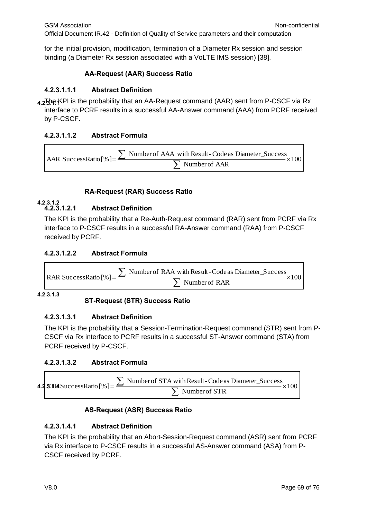for the initial provision, modification, termination of a Diameter Rx session and session binding (a Diameter Rx session associated with a VoLTE IMS session) [38].

# **AA-Request (AAR) Success Ratio**

# **4.2.3.1.1.1 Abstract Definition**

**4.2.3.1.1** The KPI is the probability that an AA-Request command (AAR) sent from P-CSCF via Rx interface to PCRF results in a successful AA-Answer command (AAA) from PCRF received by P-CSCF.

# **4.2.3.1.1.2 Abstract Formula**

$$
AAR SuccessRatio [\%] = \frac{\sum Number of AAA with Result-Code as Diameter\_Success}{\sum Number of AAR} \times 100
$$

# **RA-Request (RAR) Success Ratio**

#### **4.2.3.1.2 4.2.3.1.2.1 Abstract Definition**

The KPI is the probability that a Re-Auth-Request command (RAR) sent from PCRF via Rx interface to P-CSCF results in a successful RA-Answer command (RAA) from P-CSCF received by PCRF.

# **4.2.3.1.2.2 Abstract Formula**

$$
RAR SuccessRatio [\%] = \frac{\sum \text{ Number of RAA with Result-Code as Diameter\_Success}}{\sum \text{ Number of RAR}} \times 100
$$

**4.2.3.1.3**

# **ST-Request (STR) Success Ratio**

# **4.2.3.1.3.1 Abstract Definition**

The KPI is the probability that a Session-Termination-Request command (STR) sent from P-CSCF via Rx interface to PCRF results in a successful ST-Answer command (STA) from PCRF received by P-CSCF.

# **4.2.3.1.3.2 Abstract Formula**

**4.2 SJIR** SuccessRatio [% ] = 
$$
\frac{\sum \text{ Number of STA with Result-Code as Diameter\_Success}}{\sum \text{ Number of STR}} \times 100
$$

# **AS-Request (ASR) Success Ratio**

# **4.2.3.1.4.1 Abstract Definition**

The KPI is the probability that an Abort-Session-Request command (ASR) sent from PCRF via Rx interface to P-CSCF results in a successful AS-Answer command (ASA) from P-CSCF received by PCRF.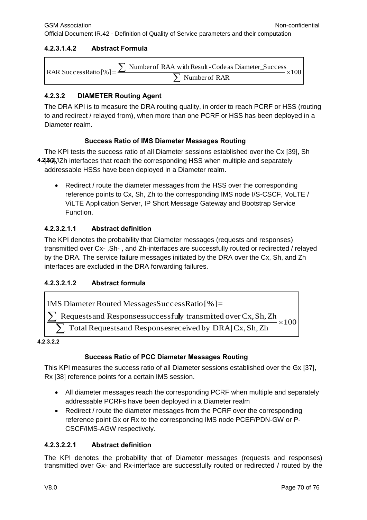# **4.2.3.1.4.2 Abstract Formula**

| RAR SuccessRatio [%] = $\frac{\sum x_i}{x_i}$ | $\sum$ Number of RAA with Result - Code as Diameter_Success<br>$-x100$ |
|-----------------------------------------------|------------------------------------------------------------------------|
|                                               | $\sum$ Number of RAR                                                   |

# **4.2.3.2 DIAMETER Routing Agent**

The DRA KPI is to measure the DRA routing quality, in order to reach PCRF or HSS (routing to and redirect / relayed from), when more than one PCRF or HSS has been deployed in a Diameter realm.

# **Success Ratio of IMS Diameter Messages Routing**

4. 4. 4. **4. 2.** Therfaces that reach the corresponding HSS when multiple and separately The KPI tests the success ratio of all Diameter sessions established over the Cx [39], Sh addressable HSSs have been deployed in a Diameter realm.

• Redirect / route the diameter messages from the HSS over the corresponding reference points to Cx, Sh, Zh to the corresponding IMS node I/S-CSCF, VoLTE / ViLTE Application Server, IP Short Message Gateway and Bootstrap Service Function.

# **4.2.3.2.1.1 Abstract definition**

The KPI denotes the probability that Diameter messages (requests and responses) transmitted over Cx- ,Sh- , and Zh-interfaces are successfully routed or redirected / relayed by the DRA. The service failure messages initiated by the DRA over the Cx, Sh, and Zh interfaces are excluded in the DRA forwarding failures.

# **4.2.3.2.1.2 Abstract formula**

IMS Diameter Routed MessagesSuccessRatio [% ]=

\n
$$
\frac{\sum \text{Requests and Responsessuccessfully transmitted over Cx, Sh, Zh}}{\sum \text{Total Requests and Responsesreceived by DRA | Cx, Sh, Zh}} \times 100
$$

**4.2.3.2.2**

# **Success Ratio of PCC Diameter Messages Routing**

This KPI measures the success ratio of all Diameter sessions established over the Gx [37], Rx [38] reference points for a certain IMS session.

- All diameter messages reach the corresponding PCRF when multiple and separately addressable PCRFs have been deployed in a Diameter realm
- Redirect / route the diameter messages from the PCRF over the corresponding reference point Gx or Rx to the corresponding IMS node PCEF/PDN-GW or P-CSCF/IMS-AGW respectively.

# **4.2.3.2.2.1 Abstract definition**

The KPI denotes the probability that of Diameter messages (requests and responses) transmitted over Gx- and Rx-interface are successfully routed or redirected / routed by the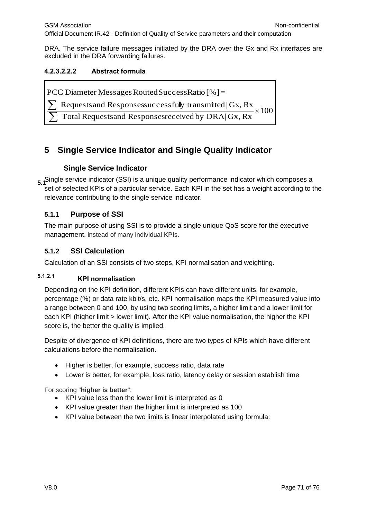DRA. The service failure messages initiated by the DRA over the Gx and Rx interfaces are excluded in the DRA forwarding failures.

# **4.2.3.2.2.2 Abstract formula**

PCC Diameter Messages Routed Success Ratio [%] =

Requests and Responsessuccessfully transmitted  $|Gx, Rx|$  $\sum$ 

 $\times 100$ Total Requestsand Responsesreceived by DRA|Gx, Rx  $\sum$ 

# **5 Single Service Indicator and Single Quality Indicator**

# **Single Service Indicator**

**5.1**Single service indicator (SSI) is a unique quality performance indicator which composes a set of selected KPIs of a particular service. Each KPI in the set has a weight according to the relevance contributing to the single service indicator.

# **5.1.1 Purpose of SSI**

The main purpose of using SSI is to provide a single unique QoS score for the executive management, instead of many individual KPIs.

# **5.1.2 SSI Calculation**

Calculation of an SSI consists of two steps, KPI normalisation and weighting.

# **KPI normalisation 5.1.2.1**

Depending on the KPI definition, different KPIs can have different units, for example, percentage (%) or data rate kbit/s, etc. KPI normalisation maps the KPI measured value into a range between 0 and 100, by using two scoring limits, a higher limit and a lower limit for each KPI (higher limit > lower limit). After the KPI value normalisation, the higher the KPI score is, the better the quality is implied.

Despite of divergence of KPI definitions, there are two types of KPIs which have different calculations before the normalisation.

- Higher is better, for example, success ratio, data rate
- Lower is better, for example, loss ratio, latency delay or session establish time

For scoring "**higher is better**":

- KPI value less than the lower limit is interpreted as 0
- KPI value greater than the higher limit is interpreted as 100
- KPI value between the two limits is linear interpolated using formula: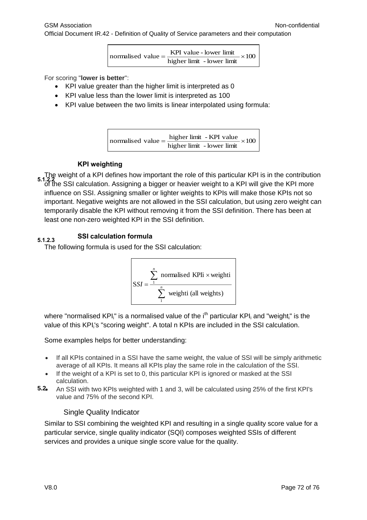normalised value = 
$$
\frac{\text{KPI value - lower limit}}{\text{higher limit - lower limit}} \times 100
$$

For scoring "**lower is better**":

- KPI value greater than the higher limit is interpreted as 0
- KPI value less than the lower limit is interpreted as 100
- KPI value between the two limits is linear interpolated using formula:

normalised value = 
$$
\frac{\text{higher limit - KPI value}}{\text{higher limit - lower limit}} \times 100
$$

### **KPI weighting**

The weight of a KPI defines how important the role of this particular KPI is in the contribution<br>5.1.2.2 of the SSI calculation. Assigning a bigger or heavier weight to a KPI will give the KPI more influence on SSI. Assigning smaller or lighter weights to KPIs will make those KPIs not so important. Negative weights are not allowed in the SSI calculation, but using zero weight can temporarily disable the KPI without removing it from the SSI definition. There has been at least one non-zero weighted KPI in the SSI definition.

# **SSI calculation formula 5.1.2.3**

The following formula is used for the SSI calculation:



where "normalised KPI;" is a normalised value of the  $i<sup>th</sup>$  particular KPI; and "weight;" is the value of this KPI<sub>i</sub>'s "scoring weight". A total n KPIs are included in the SSI calculation.

Some examples helps for better understanding:

- If all KPIs contained in a SSI have the same weight, the value of SSI will be simply arithmetic average of all KPIs. It means all KPIs play the same role in the calculation of the SSI.
- If the weight of a KPI is set to 0, this particular KPI is ignored or masked at the SSI calculation.
- An SSI with two KPIs weighted with 1 and 3, will be calculated using 25% of the first KPI's value and 75% of the second KPI. **5.2**

#### Single Quality Indicator

Similar to SSI combining the weighted KPI and resulting in a single quality score value for a particular service, single quality indicator (SQI) composes weighted SSIs of different services and provides a unique single score value for the quality.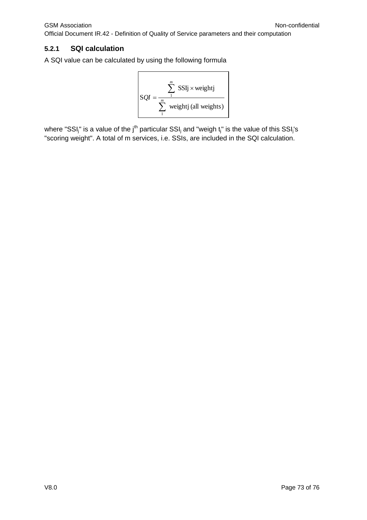Official Document IR.42 - Definition of Quality of Service parameters and their computation

#### **5.2.1 SQI calculation**

A SQI value can be calculated by using the following formula  $\mathbf{r}$ 

$$
SQL = \frac{\sum_{1}^{m} SSIj \times weightj}{\sum_{1}^{m} weightj (all weights)}
$$

where "SSI<sub>j</sub>" is a value of the j<sup>th</sup> particular SSI<sub>j</sub> and "weigh t<sub>j</sub>" is the value of this SSI<sub>j</sub>'s "scoring weight". A total of m services, i.e. SSIs, are included in the SQI calculation.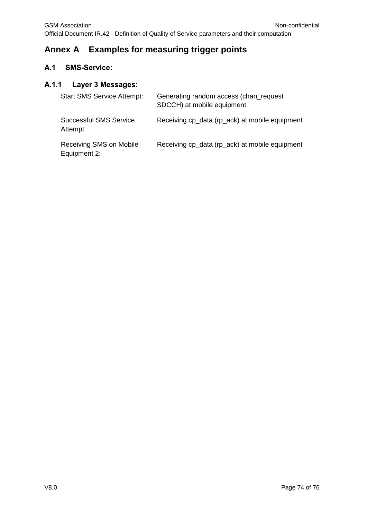## **Annex A Examples for measuring trigger points**

### **A.1 SMS-Service:**

### **A.1.1 Layer 3 Messages:**

| <b>Start SMS Service Attempt:</b>        | Generating random access (chan_request<br>SDCCH) at mobile equipment |
|------------------------------------------|----------------------------------------------------------------------|
| <b>Successful SMS Service</b><br>Attempt | Receiving cp_data (rp_ack) at mobile equipment                       |
| Receiving SMS on Mobile<br>Equipment 2:  | Receiving cp_data (rp_ack) at mobile equipment                       |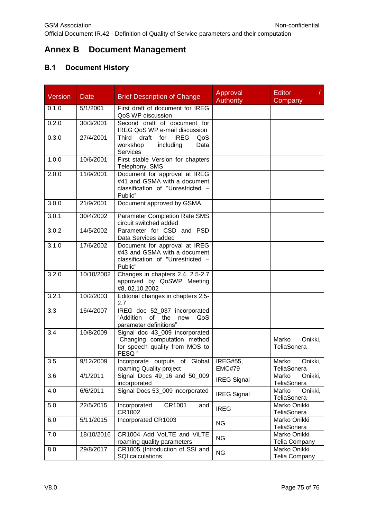# **Annex B Document Management**

## **B.1 Document History**

| <b>Version</b> | <b>Date</b> | <b>Brief Description of Change</b>                                                                            | Approval<br><b>Authority</b>     | <b>Editor</b><br>Company        |
|----------------|-------------|---------------------------------------------------------------------------------------------------------------|----------------------------------|---------------------------------|
| 0.1.0          | 5/1/2001    | First draft of document for IREG<br>QoS WP discussion                                                         |                                  |                                 |
| 0.2.0          | 30/3/2001   | Second draft of document for<br>IREG QoS WP e-mail discussion                                                 |                                  |                                 |
| 0.3.0          | 27/4/2001   | draft<br><b>IREG</b><br><b>Third</b><br>for<br>QoS<br>workshop<br>including<br>Data<br>Services               |                                  |                                 |
| 1.0.0          | 10/6/2001   | First stable Version for chapters<br>Telephony, SMS                                                           |                                  |                                 |
| 2.0.0          | 11/9/2001   | Document for approval at IREG<br>#41 and GSMA with a document<br>classification of "Unrestricted -<br>Public" |                                  |                                 |
| 3.0.0          | 21/9/2001   | Document approved by GSMA                                                                                     |                                  |                                 |
| 3.0.1          | 30/4/2002   | Parameter Completion Rate SMS<br>circuit switched added                                                       |                                  |                                 |
| 3.0.2          | 14/5/2002   | Parameter for CSD and PSD<br>Data Services added                                                              |                                  |                                 |
| 3.1.0          | 17/6/2002   | Document for approval at IREG<br>#43 and GSMA with a document<br>classification of "Unrestricted -<br>Public" |                                  |                                 |
| 3.2.0          | 10/10/2002  | Changes in chapters 2.4, 2.5-2.7<br>approved by QoSWP Meeting<br>#8, 02.10.2002                               |                                  |                                 |
| 3.2.1          | 10/2/2003   | Editorial changes in chapters 2.5-<br>2.7                                                                     |                                  |                                 |
| 3.3            | 16/4/2007   | IREG doc 52_037 incorporated<br>"Addition of the<br>new<br>QoS<br>parameter definitions"                      |                                  |                                 |
| 3.4            | 10/8/2009   | Signal doc 43_009 incorporated<br>"Changing computation method<br>for speech quality from MOS to<br>PESQ"     |                                  | Marko<br>Onikki,<br>TeliaSonera |
| 3.5            | 9/12/2009   | Incorporate outputs of Global<br>roaming Quality project                                                      | <b>IREG#55,</b><br><b>EMC#79</b> | Onikki,<br>Marko<br>TeliaSonera |
| 3.6            | 4/1/2011    | Signal Docs 49_16 and 50_009<br>incorporated                                                                  | <b>IREG Signal</b>               | Onikki,<br>Marko<br>TeliaSonera |
| 4.0            | 6/6/2011    | Signal Docs 53_009 incorporated                                                                               | <b>IREG Signal</b>               | Onikki,<br>Marko<br>TeliaSonera |
| 5.0            | 22/5/2015   | CR1001<br>Incorporated<br>and<br>CR1002                                                                       | <b>IREG</b>                      | Marko Onikki<br>TeliaSonera     |
| 6.0            | 5/11/2015   | Incorporated CR1003                                                                                           | <b>NG</b>                        | Marko Onikki<br>TeliaSonera     |
| 7.0            | 18/10/2016  | CR1004 Add VoLTE and ViLTE<br>roaming quality parameters                                                      | <b>NG</b>                        | Marko Onikki<br>Telia Company   |
| 8.0            | 29/8/2017   | CR1005 (Introduction of SSI and<br>SQI calculations                                                           | <b>NG</b>                        | Marko Onikki<br>Telia Company   |